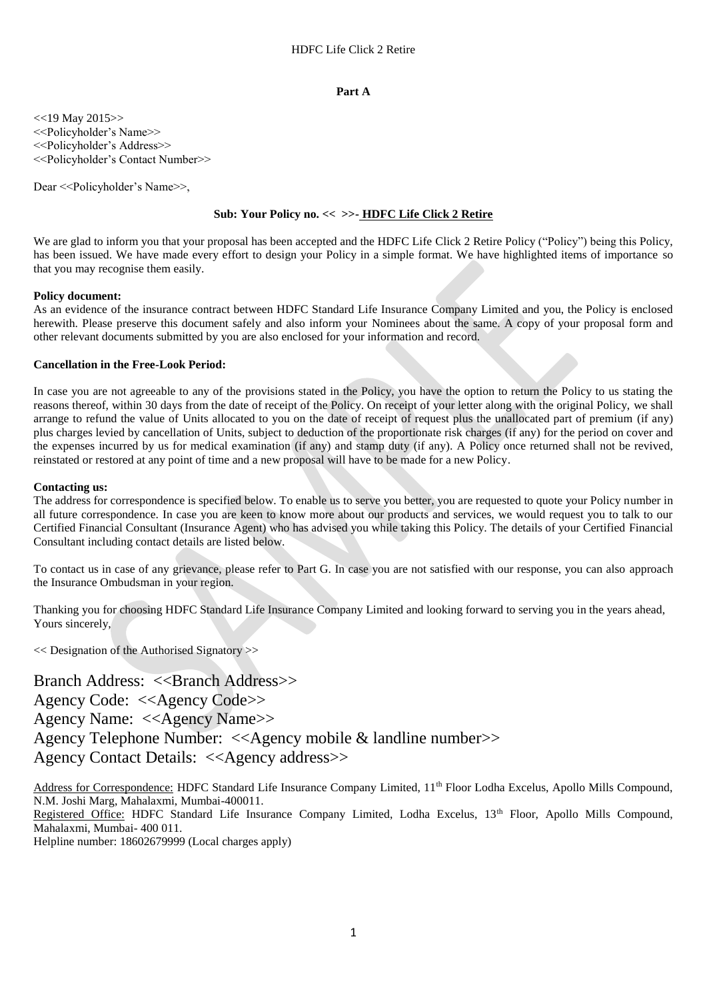#### **Part A**

 $<<$ 19 May 2015>> <<Policyholder's Name>> <<Policyholder's Address>> <<Policyholder's Contact Number>>

Dear << Policyholder's Name >>,

## **Sub: Your Policy no. << >>- HDFC Life Click 2 Retire**

We are glad to inform you that your proposal has been accepted and the HDFC Life Click 2 Retire Policy ("Policy") being this Policy, has been issued. We have made every effort to design your Policy in a simple format. We have highlighted items of importance so that you may recognise them easily.

#### **Policy document:**

As an evidence of the insurance contract between HDFC Standard Life Insurance Company Limited and you, the Policy is enclosed herewith. Please preserve this document safely and also inform your Nominees about the same. A copy of your proposal form and other relevant documents submitted by you are also enclosed for your information and record.

#### **Cancellation in the Free-Look Period:**

In case you are not agreeable to any of the provisions stated in the Policy, you have the option to return the Policy to us stating the reasons thereof, within 30 days from the date of receipt of the Policy. On receipt of your letter along with the original Policy, we shall arrange to refund the value of Units allocated to you on the date of receipt of request plus the unallocated part of premium (if any) plus charges levied by cancellation of Units, subject to deduction of the proportionate risk charges (if any) for the period on cover and the expenses incurred by us for medical examination (if any) and stamp duty (if any). A Policy once returned shall not be revived, reinstated or restored at any point of time and a new proposal will have to be made for a new Policy.

#### **Contacting us:**

The address for correspondence is specified below. To enable us to serve you better, you are requested to quote your Policy number in all future correspondence. In case you are keen to know more about our products and services, we would request you to talk to our Certified Financial Consultant (Insurance Agent) who has advised you while taking this Policy. The details of your Certified Financial Consultant including contact details are listed below.

To contact us in case of any grievance, please refer to Part G. In case you are not satisfied with our response, you can also approach the Insurance Ombudsman in your region.

Thanking you for choosing HDFC Standard Life Insurance Company Limited and looking forward to serving you in the years ahead, Yours sincerely.

<< Designation of the Authorised Signatory >>

Branch Address: <<Branch Address>> Agency Code: <<Agency Code>> Agency Name: <<Agency Name>> Agency Telephone Number: <<Agency mobile & landline number>> Agency Contact Details: <<Agency address>>

Address for Correspondence: HDFC Standard Life Insurance Company Limited, 11<sup>th</sup> Floor Lodha Excelus, Apollo Mills Compound, N.M. Joshi Marg, Mahalaxmi, Mumbai-400011.

Registered Office: HDFC Standard Life Insurance Company Limited, Lodha Excelus, 13<sup>th</sup> Floor, Apollo Mills Compound, Mahalaxmi, Mumbai- 400 011.

Helpline number: 18602679999 (Local charges apply)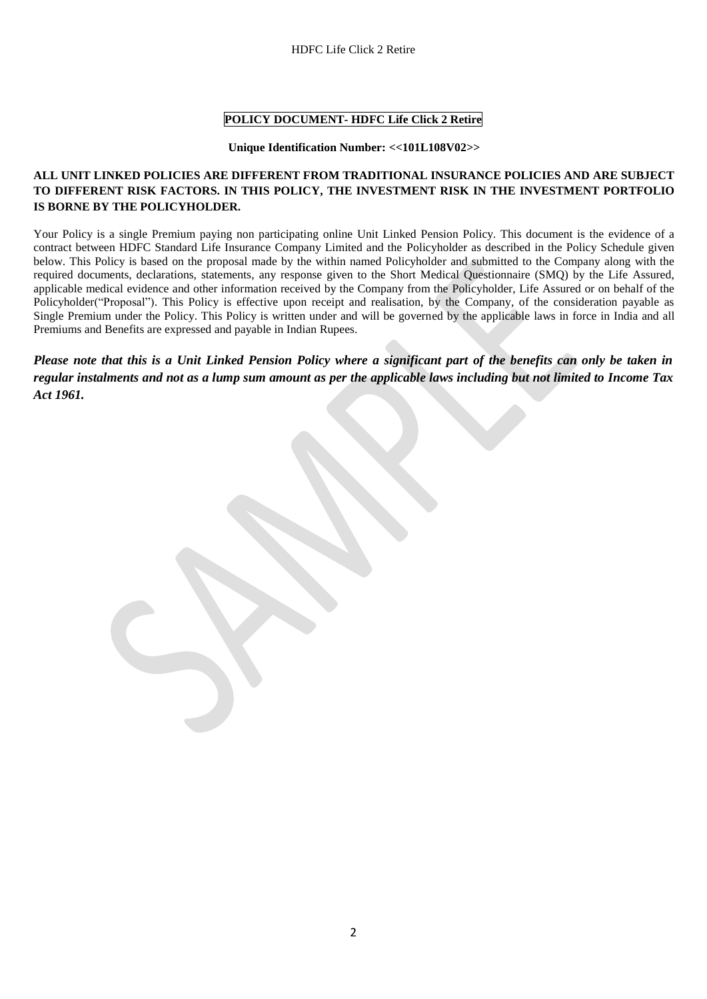## **POLICY DOCUMENT- HDFC Life Click 2 Retire**

#### **Unique Identification Number: <<101L108V02>>**

## **ALL UNIT LINKED POLICIES ARE DIFFERENT FROM TRADITIONAL INSURANCE POLICIES AND ARE SUBJECT TO DIFFERENT RISK FACTORS. IN THIS POLICY, THE INVESTMENT RISK IN THE INVESTMENT PORTFOLIO IS BORNE BY THE POLICYHOLDER.**

Your Policy is a single Premium paying non participating online Unit Linked Pension Policy. This document is the evidence of a contract between HDFC Standard Life Insurance Company Limited and the Policyholder as described in the Policy Schedule given below. This Policy is based on the proposal made by the within named Policyholder and submitted to the Company along with the required documents, declarations, statements, any response given to the Short Medical Questionnaire (SMQ) by the Life Assured, applicable medical evidence and other information received by the Company from the Policyholder, Life Assured or on behalf of the Policyholder("Proposal"). This Policy is effective upon receipt and realisation, by the Company, of the consideration payable as Single Premium under the Policy. This Policy is written under and will be governed by the applicable laws in force in India and all Premiums and Benefits are expressed and payable in Indian Rupees.

*Please note that this is a Unit Linked Pension Policy where a significant part of the benefits can only be taken in regular instalments and not as a lump sum amount as per the applicable laws including but not limited to Income Tax Act 1961.*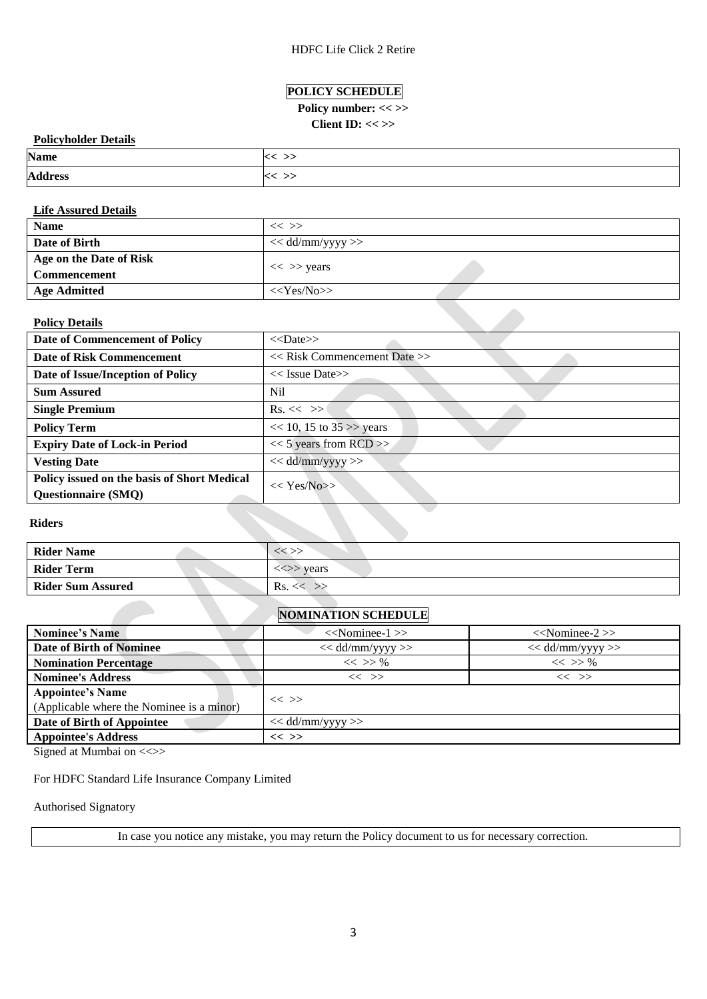## **POLICY SCHEDULE**

# Policy number: << >>

## **Client ID: << >>**

## **Policyholder Details**

| <b>Name</b>    |       |
|----------------|-------|
| <b>Address</b> | - - - |

## **Life Assured Details**

| <b>Name</b>             | $<<$ >>            |
|-------------------------|--------------------|
| Date of Birth           | $<<$ dd/mm/yyyy >> |
| Age on the Date of Risk | $<<$ >> years      |
| Commencement            |                    |
| <b>Age Admitted</b>     | $<<$ Yes/No>>      |

## **Policy Details**

| <b>Policy Details</b>                                                     |                                  |
|---------------------------------------------------------------------------|----------------------------------|
| Date of Commencement of Policy                                            | $<<$ Date>>                      |
| Date of Risk Commencement                                                 | $<<$ Risk Commencement Date $>>$ |
| Date of Issue/Inception of Policy                                         | $<<$ Issue Date>>                |
| <b>Sum Assured</b>                                                        | Nil                              |
| <b>Single Premium</b>                                                     | $\text{Rs.} \ll \gg$             |
| <b>Policy Term</b>                                                        | $<< 10$ , 15 to 35 >> years      |
| <b>Expiry Date of Lock-in Period</b>                                      | $<< 5$ years from RCD >>         |
| <b>Vesting Date</b>                                                       | $<<$ dd/mm/yyyy >>               |
| Policy issued on the basis of Short Medical<br><b>Questionnaire (SMQ)</b> | $<< \text{Yes/N0}$               |

## **Riders**

| <b>Rider Name</b>        | << >>                                   |
|--------------------------|-----------------------------------------|
| <b>Rider Term</b>        | $\langle \langle \rangle \rangle$ years |
| <b>Rider Sum Assured</b> | Rs. <                                   |

## **NOMINATION SCHEDULE**

| <b>Nominee's Name</b>                     | $<<$ Nominee-1 $>>$ | $<<$ Nominee-2 $>>$ |  |  |
|-------------------------------------------|---------------------|---------------------|--|--|
| <b>Date of Birth of Nominee</b>           | $<<$ dd/mm/yyyy >>  | $<<$ dd/mm/yyyy >>  |  |  |
| <b>Nomination Percentage</b>              | $<<$ >> %           | $<<$ >> %           |  |  |
| <b>Nominee's Address</b>                  | $<<$ >>             | $<<$ >>             |  |  |
| <b>Appointee's Name</b>                   |                     |                     |  |  |
| (Applicable where the Nominee is a minor) | $<<$ >>             |                     |  |  |
| Date of Birth of Appointee                | $<<$ dd/mm/yyyy >>  |                     |  |  |
| <b>Appointee's Address</b>                | $<<$ >>             |                     |  |  |

Signed at Mumbai on <<>>

## For HDFC Standard Life Insurance Company Limited

## Authorised Signatory

In case you notice any mistake, you may return the Policy document to us for necessary correction.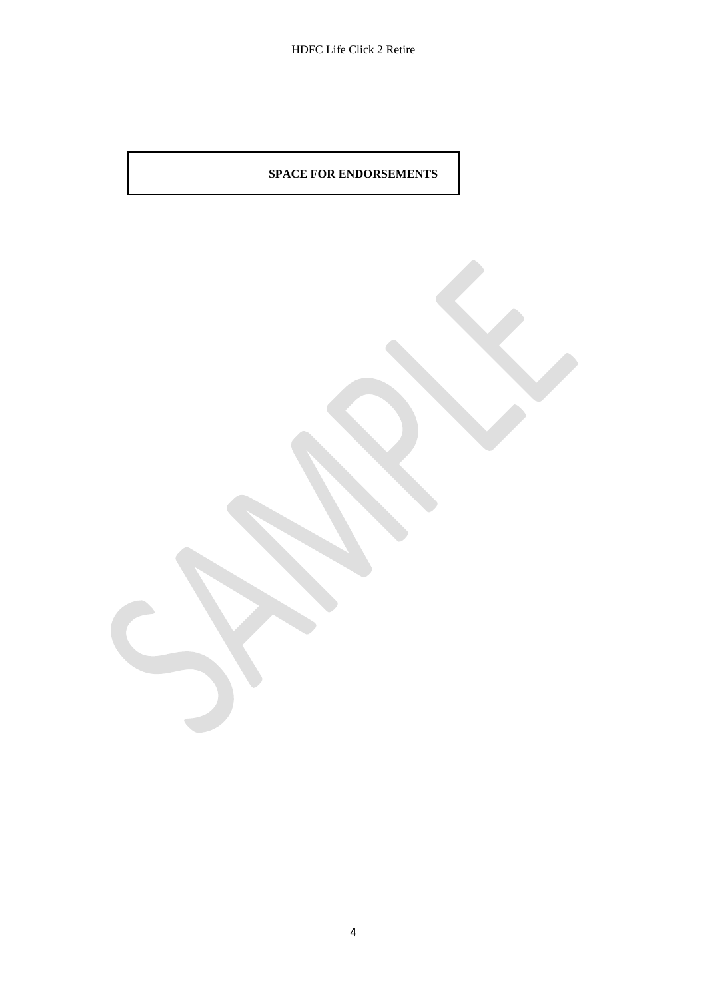## **SPACE FOR ENDORSEMENTS**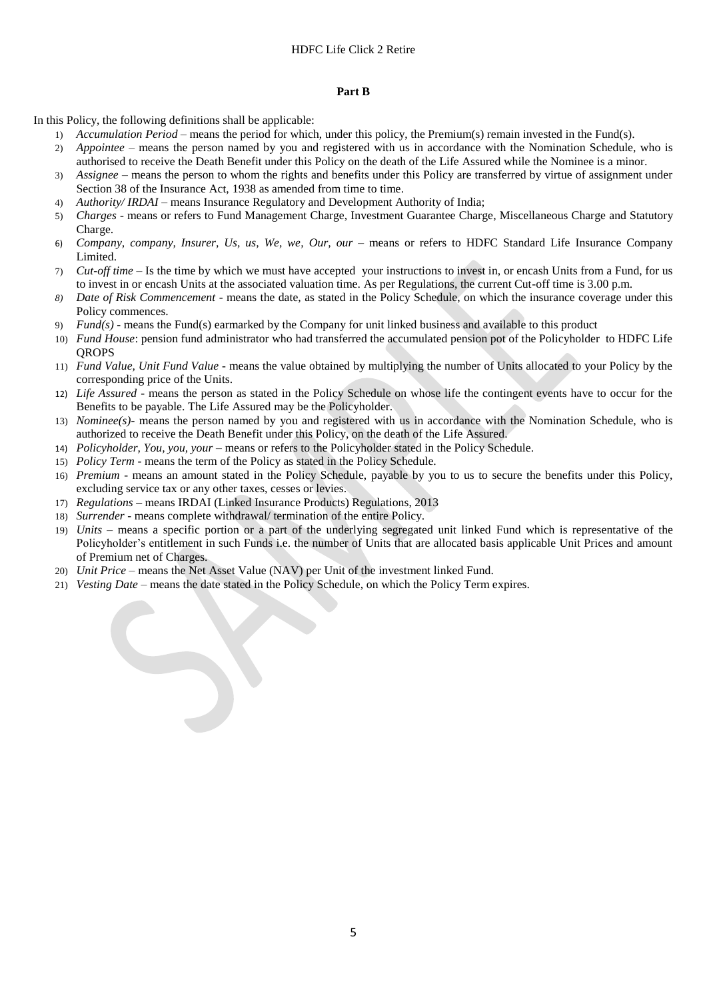#### **Part B**

In this Policy, the following definitions shall be applicable:

- 1) *Accumulation Period* means the period for which, under this policy, the Premium(s) remain invested in the Fund(s). 2) *Appointee –* means the person named by you and registered with us in accordance with the Nomination Schedule, who is authorised to receive the Death Benefit under this Policy on the death of the Life Assured while the Nominee is a minor.
- 3) *Assignee*  means the person to whom the rights and benefits under this Policy are transferred by virtue of assignment under Section 38 of the Insurance Act, 1938 as amended from time to time.
- 4) *Authority/ IRDAI* means Insurance Regulatory and Development Authority of India;
- 5) *Charges -* means or refers to Fund Management Charge, Investment Guarantee Charge, Miscellaneous Charge and Statutory Charge.
- 6) *Company, company, Insurer, Us, us, We, we, Our, our*  means or refers to HDFC Standard Life Insurance Company Limited.
- 7) *Cut-off time*  Is the time by which we must have accepted your instructions to invest in, or encash Units from a Fund, for us to invest in or encash Units at the associated valuation time. As per Regulations, the current Cut-off time is 3.00 p.m.
- *8) Date of Risk Commencement -* means the date, as stated in the Policy Schedule, on which the insurance coverage under this Policy commences.
- 9) *Fund(s)* means the Fund(s) earmarked by the Company for unit linked business and available to this product
- 10) *Fund House*: pension fund administrator who had transferred the accumulated pension pot of the Policyholder to HDFC Life **OROPS**
- 11) *Fund Value, Unit Fund Value* means the value obtained by multiplying the number of Units allocated to your Policy by the corresponding price of the Units.
- 12) *Life Assured* means the person as stated in the Policy Schedule on whose life the contingent events have to occur for the Benefits to be payable. The Life Assured may be the Policyholder.
- 13) *Nominee(s)-* means the person named by you and registered with us in accordance with the Nomination Schedule, who is authorized to receive the Death Benefit under this Policy, on the death of the Life Assured.
- 14) *Policyholder, You, you, your* means or refers to the Policyholder stated in the Policy Schedule.
- 15) *Policy Term*  means the term of the Policy as stated in the Policy Schedule.
- 16) *Premium* means an amount stated in the Policy Schedule, payable by you to us to secure the benefits under this Policy, excluding service tax or any other taxes, cesses or levies.
- 17) *Regulations* **–** means IRDAI (Linked Insurance Products) Regulations, 2013
- 18) *Surrender* means complete withdrawal/ termination of the entire Policy.
- 19) *Units* means a specific portion or a part of the underlying segregated unit linked Fund which is representative of the Policyholder's entitlement in such Funds i.e. the number of Units that are allocated basis applicable Unit Prices and amount of Premium net of Charges.
- 20) *Unit Price* means the Net Asset Value (NAV) per Unit of the investment linked Fund.
- 21) *Vesting Date –* means the date stated in the Policy Schedule, on which the Policy Term expires.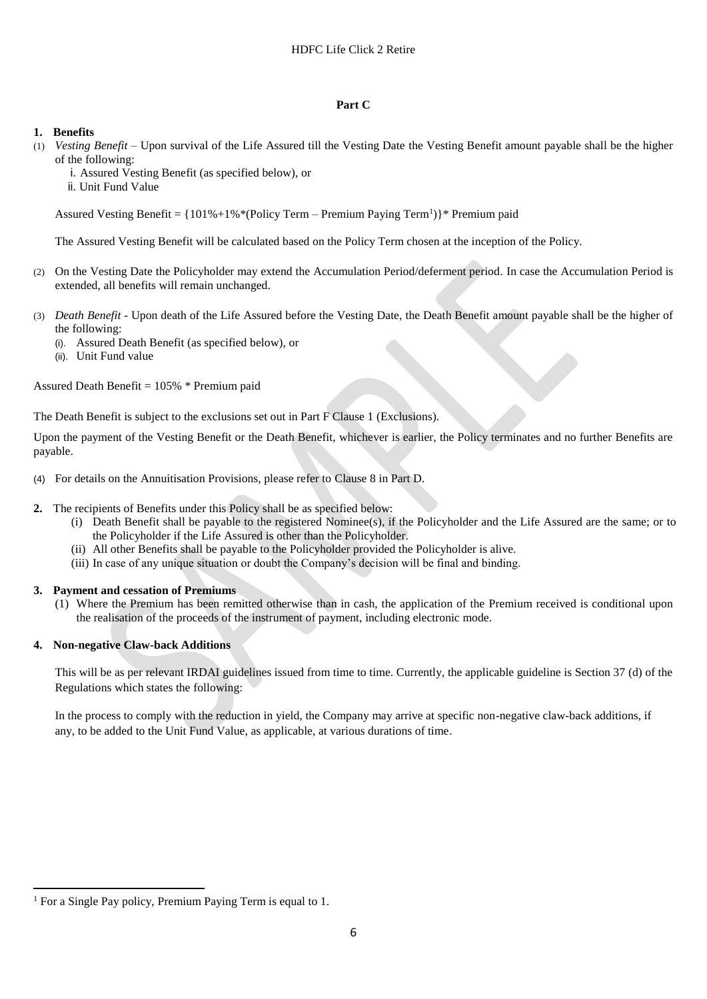### **Part C**

## **1. Benefits**

- (1) *Vesting Benefit –* Upon survival of the Life Assured till the Vesting Date the Vesting Benefit amount payable shall be the higher of the following:
	- i. Assured Vesting Benefit (as specified below), or
	- ii. Unit Fund Value

Assured Vesting Benefit = {101%+1%\*(Policy Term – Premium Paying Term<sup>1</sup>)}\* Premium paid

The Assured Vesting Benefit will be calculated based on the Policy Term chosen at the inception of the Policy.

- (2) On the Vesting Date the Policyholder may extend the Accumulation Period/deferment period. In case the Accumulation Period is extended, all benefits will remain unchanged.
- (3) *Death Benefit* Upon death of the Life Assured before the Vesting Date, the Death Benefit amount payable shall be the higher of the following:
	- (i). Assured Death Benefit (as specified below), or
	- (ii). Unit Fund value

Assured Death Benefit = 105% \* Premium paid

The Death Benefit is subject to the exclusions set out in Part F Clause 1 (Exclusions).

Upon the payment of the Vesting Benefit or the Death Benefit, whichever is earlier, the Policy terminates and no further Benefits are payable.

- (4) For details on the Annuitisation Provisions, please refer to Clause 8 in Part D.
- **2.** The recipients of Benefits under this Policy shall be as specified below:
	- (i) Death Benefit shall be payable to the registered Nominee(s), if the Policyholder and the Life Assured are the same; or to the Policyholder if the Life Assured is other than the Policyholder.
	- (ii) All other Benefits shall be payable to the Policyholder provided the Policyholder is alive.
	- (iii) In case of any unique situation or doubt the Company's decision will be final and binding.

## **3. Payment and cessation of Premiums**

(1) Where the Premium has been remitted otherwise than in cash, the application of the Premium received is conditional upon the realisation of the proceeds of the instrument of payment, including electronic mode.

## **4. Non-negative Claw-back Additions**

 $\overline{a}$ 

This will be as per relevant IRDAI guidelines issued from time to time. Currently, the applicable guideline is Section 37 (d) of the Regulations which states the following:

In the process to comply with the reduction in yield, the Company may arrive at specific non-negative claw-back additions, if any, to be added to the Unit Fund Value, as applicable, at various durations of time.

<sup>&</sup>lt;sup>1</sup> For a Single Pay policy, Premium Paying Term is equal to 1.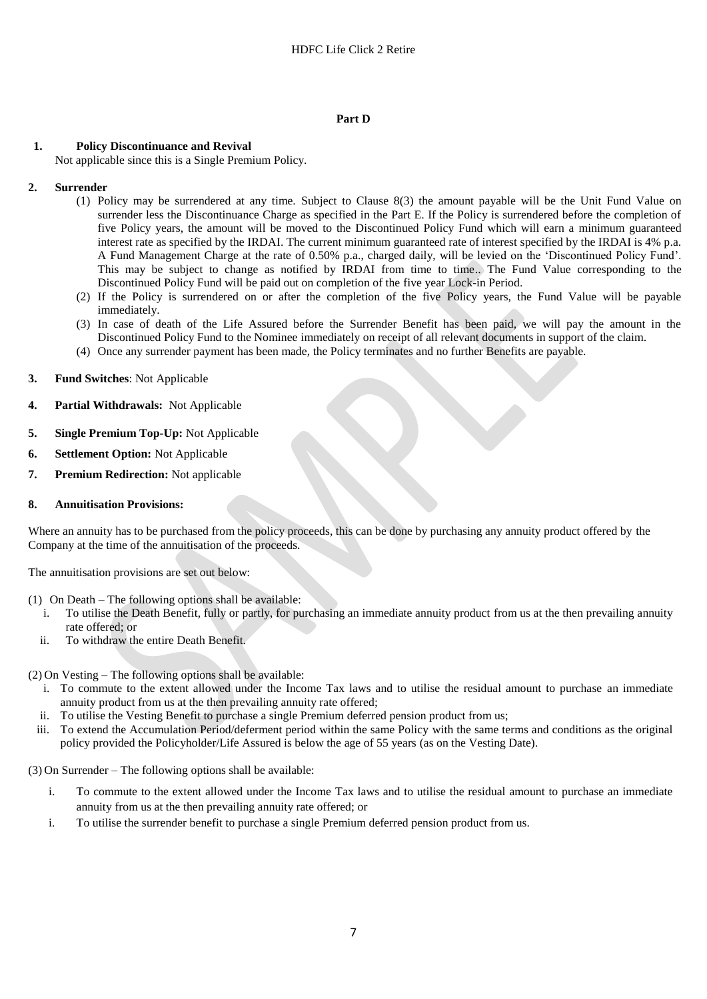### **Part D**

## **1. Policy Discontinuance and Revival**

Not applicable since this is a Single Premium Policy.

## **2. Surrender**

- (1) Policy may be surrendered at any time. Subject to Clause 8(3) the amount payable will be the Unit Fund Value on surrender less the Discontinuance Charge as specified in the Part E. If the Policy is surrendered before the completion of five Policy years, the amount will be moved to the Discontinued Policy Fund which will earn a minimum guaranteed interest rate as specified by the IRDAI. The current minimum guaranteed rate of interest specified by the IRDAI is 4% p.a. A Fund Management Charge at the rate of 0.50% p.a., charged daily, will be levied on the 'Discontinued Policy Fund'. This may be subject to change as notified by IRDAI from time to time.. The Fund Value corresponding to the Discontinued Policy Fund will be paid out on completion of the five year Lock-in Period.
- (2) If the Policy is surrendered on or after the completion of the five Policy years, the Fund Value will be payable immediately.
- (3) In case of death of the Life Assured before the Surrender Benefit has been paid, we will pay the amount in the Discontinued Policy Fund to the Nominee immediately on receipt of all relevant documents in support of the claim.
- (4) Once any surrender payment has been made, the Policy terminates and no further Benefits are payable.
- **3. Fund Switches**: Not Applicable
- **4. Partial Withdrawals:** Not Applicable
- **5. Single Premium Top-Up:** Not Applicable
- **6. Settlement Option:** Not Applicable
- **7. Premium Redirection:** Not applicable
- **8. Annuitisation Provisions:**

Where an annuity has to be purchased from the policy proceeds, this can be done by purchasing any annuity product offered by the Company at the time of the annuitisation of the proceeds.

The annuitisation provisions are set out below:

- (1) On Death The following options shall be available:
	- i. To utilise the Death Benefit, fully or partly, for purchasing an immediate annuity product from us at the then prevailing annuity rate offered; or
	- ii. To withdraw the entire Death Benefit.

(2) On Vesting – The following options shall be available:

- i. To commute to the extent allowed under the Income Tax laws and to utilise the residual amount to purchase an immediate annuity product from us at the then prevailing annuity rate offered;
- ii. To utilise the Vesting Benefit to purchase a single Premium deferred pension product from us;
- iii. To extend the Accumulation Period/deferment period within the same Policy with the same terms and conditions as the original policy provided the Policyholder/Life Assured is below the age of 55 years (as on the Vesting Date).

(3) On Surrender – The following options shall be available:

- i. To commute to the extent allowed under the Income Tax laws and to utilise the residual amount to purchase an immediate annuity from us at the then prevailing annuity rate offered; or
- i. To utilise the surrender benefit to purchase a single Premium deferred pension product from us.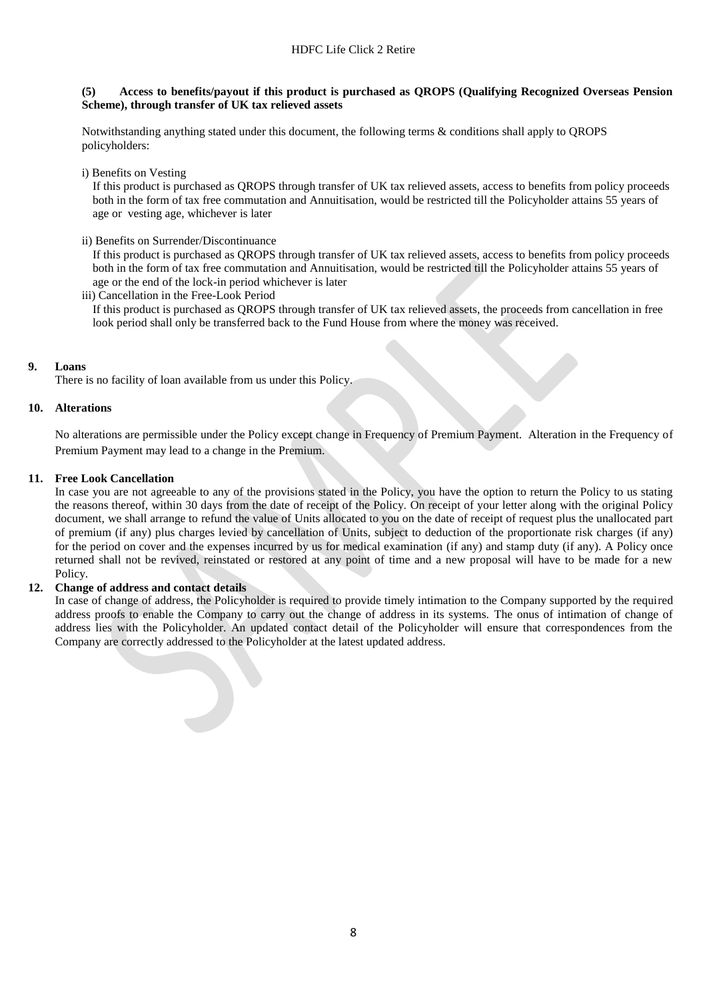#### **(5) Access to benefits/payout if this product is purchased as QROPS (Qualifying Recognized Overseas Pension Scheme), through transfer of UK tax relieved assets**

Notwithstanding anything stated under this document, the following terms & conditions shall apply to QROPS policyholders:

i) Benefits on Vesting

If this product is purchased as QROPS through transfer of UK tax relieved assets, access to benefits from policy proceeds both in the form of tax free commutation and Annuitisation, would be restricted till the Policyholder attains 55 years of age or vesting age, whichever is later

ii) Benefits on Surrender/Discontinuance

If this product is purchased as QROPS through transfer of UK tax relieved assets, access to benefits from policy proceeds both in the form of tax free commutation and Annuitisation, would be restricted till the Policyholder attains 55 years of age or the end of the lock-in period whichever is later

iii) Cancellation in the Free-Look Period

If this product is purchased as QROPS through transfer of UK tax relieved assets, the proceeds from cancellation in free look period shall only be transferred back to the Fund House from where the money was received.

## **9. Loans**

There is no facility of loan available from us under this Policy.

### **10. Alterations**

No alterations are permissible under the Policy except change in Frequency of Premium Payment. Alteration in the Frequency of Premium Payment may lead to a change in the Premium.

### **11. Free Look Cancellation**

In case you are not agreeable to any of the provisions stated in the Policy, you have the option to return the Policy to us stating the reasons thereof, within 30 days from the date of receipt of the Policy. On receipt of your letter along with the original Policy document, we shall arrange to refund the value of Units allocated to you on the date of receipt of request plus the unallocated part of premium (if any) plus charges levied by cancellation of Units, subject to deduction of the proportionate risk charges (if any) for the period on cover and the expenses incurred by us for medical examination (if any) and stamp duty (if any). A Policy once returned shall not be revived, reinstated or restored at any point of time and a new proposal will have to be made for a new Policy.

### **12. Change of address and contact details**

In case of change of address, the Policyholder is required to provide timely intimation to the Company supported by the required address proofs to enable the Company to carry out the change of address in its systems. The onus of intimation of change of address lies with the Policyholder. An updated contact detail of the Policyholder will ensure that correspondences from the Company are correctly addressed to the Policyholder at the latest updated address.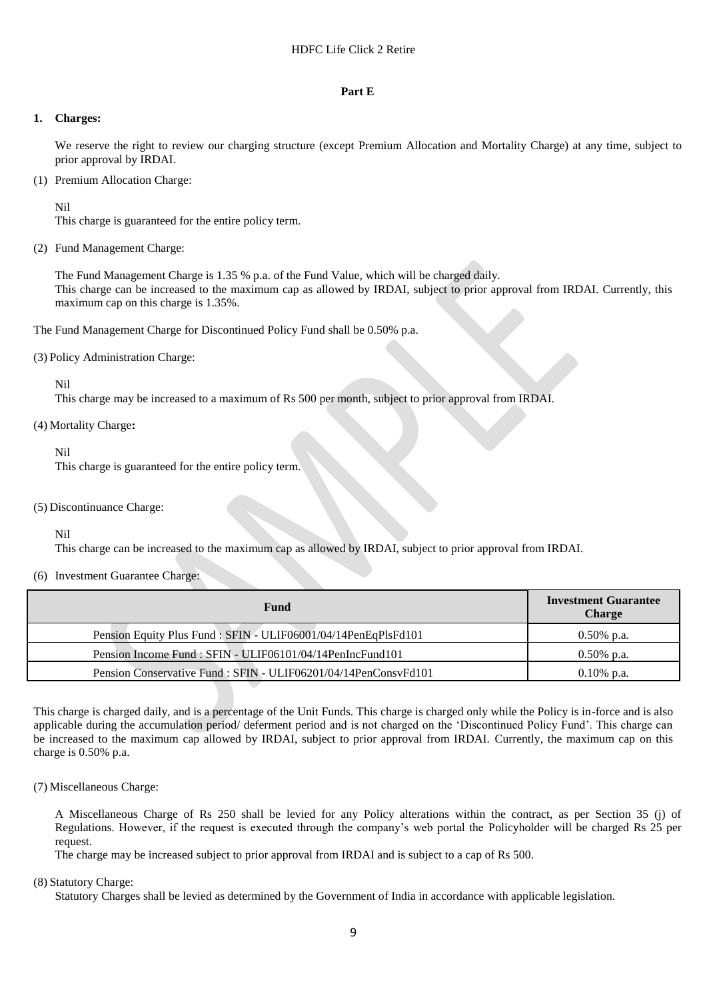#### **Part E**

#### **1. Charges:**

We reserve the right to review our charging structure (except Premium Allocation and Mortality Charge) at any time, subject to prior approval by IRDAI.

(1) Premium Allocation Charge:

Nil

This charge is guaranteed for the entire policy term.

(2) Fund Management Charge:

The Fund Management Charge is 1.35 % p.a. of the Fund Value, which will be charged daily. This charge can be increased to the maximum cap as allowed by IRDAI, subject to prior approval from IRDAI. Currently, this maximum cap on this charge is 1.35%.

The Fund Management Charge for Discontinued Policy Fund shall be 0.50% p.a.

(3) Policy Administration Charge:

Nil

This charge may be increased to a maximum of Rs 500 per month, subject to prior approval from IRDAI.

#### (4) Mortality Charge**:**

Nil

This charge is guaranteed for the entire policy term.

#### (5) Discontinuance Charge:

Nil

This charge can be increased to the maximum cap as allowed by IRDAI, subject to prior approval from IRDAI.

### (6) Investment Guarantee Charge:

| <b>Fund</b>                                                     | <b>Investment Guarantee</b><br><b>Charge</b> |  |
|-----------------------------------------------------------------|----------------------------------------------|--|
| Pension Equity Plus Fund : SFIN - ULIF06001/04/14PenEqPlsFd101  | $0.50\%$ p.a.                                |  |
| Pension Income Fund: SFIN - ULIF06101/04/14PenIncFund101        | $0.50\%$ p.a.                                |  |
| Pension Conservative Fund : SFIN - ULIF06201/04/14PenConsvFd101 | $0.10\%$ p.a.                                |  |

This charge is charged daily, and is a percentage of the Unit Funds. This charge is charged only while the Policy is in-force and is also applicable during the accumulation period/ deferment period and is not charged on the 'Discontinued Policy Fund'. This charge can be increased to the maximum cap allowed by IRDAI, subject to prior approval from IRDAI. Currently, the maximum cap on this charge is 0.50% p.a.

(7) Miscellaneous Charge:

A Miscellaneous Charge of Rs 250 shall be levied for any Policy alterations within the contract, as per Section 35 (j) of Regulations. However, if the request is executed through the company's web portal the Policyholder will be charged Rs 25 per request.

The charge may be increased subject to prior approval from IRDAI and is subject to a cap of Rs 500.

#### (8) Statutory Charge:

Statutory Charges shall be levied as determined by the Government of India in accordance with applicable legislation.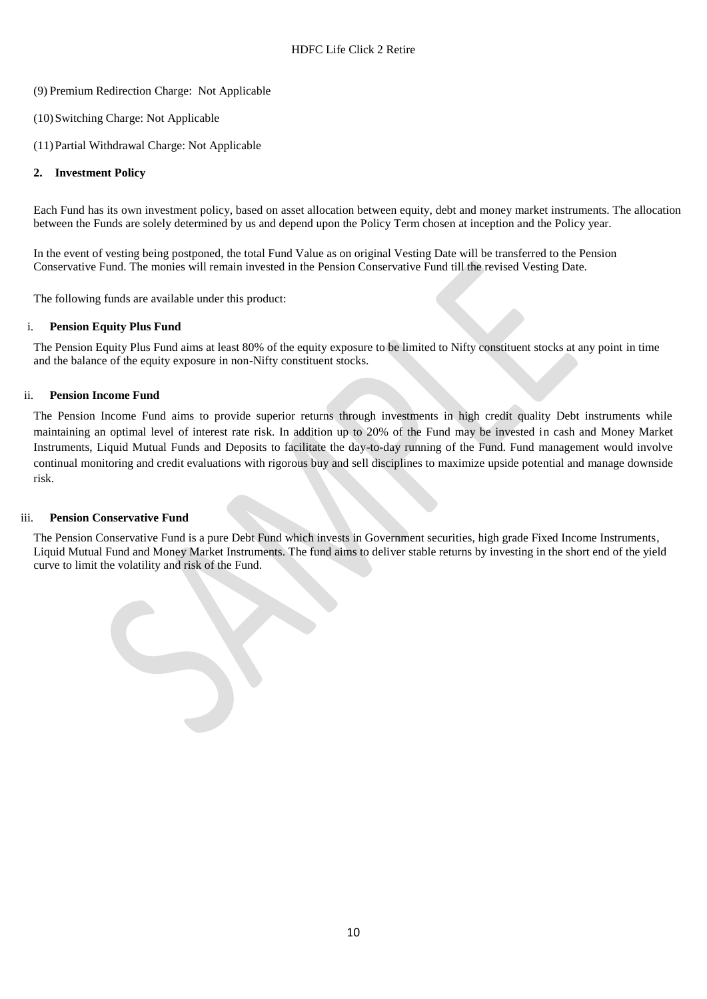- (9) Premium Redirection Charge: Not Applicable
- (10)Switching Charge: Not Applicable
- (11)Partial Withdrawal Charge: Not Applicable

## **2. Investment Policy**

Each Fund has its own investment policy, based on asset allocation between equity, debt and money market instruments. The allocation between the Funds are solely determined by us and depend upon the Policy Term chosen at inception and the Policy year.

In the event of vesting being postponed, the total Fund Value as on original Vesting Date will be transferred to the Pension Conservative Fund. The monies will remain invested in the Pension Conservative Fund till the revised Vesting Date.

The following funds are available under this product:

## i. **Pension Equity Plus Fund**

The Pension Equity Plus Fund aims at least 80% of the equity exposure to be limited to Nifty constituent stocks at any point in time and the balance of the equity exposure in non-Nifty constituent stocks.

## ii. **Pension Income Fund**

The Pension Income Fund aims to provide superior returns through investments in high credit quality Debt instruments while maintaining an optimal level of interest rate risk. In addition up to 20% of the Fund may be invested in cash and Money Market Instruments, Liquid Mutual Funds and Deposits to facilitate the day-to-day running of the Fund. Fund management would involve continual monitoring and credit evaluations with rigorous buy and sell disciplines to maximize upside potential and manage downside risk.

## iii. **Pension Conservative Fund**

The Pension Conservative Fund is a pure Debt Fund which invests in Government securities, high grade Fixed Income Instruments, Liquid Mutual Fund and Money Market Instruments. The fund aims to deliver stable returns by investing in the short end of the yield curve to limit the volatility and risk of the Fund.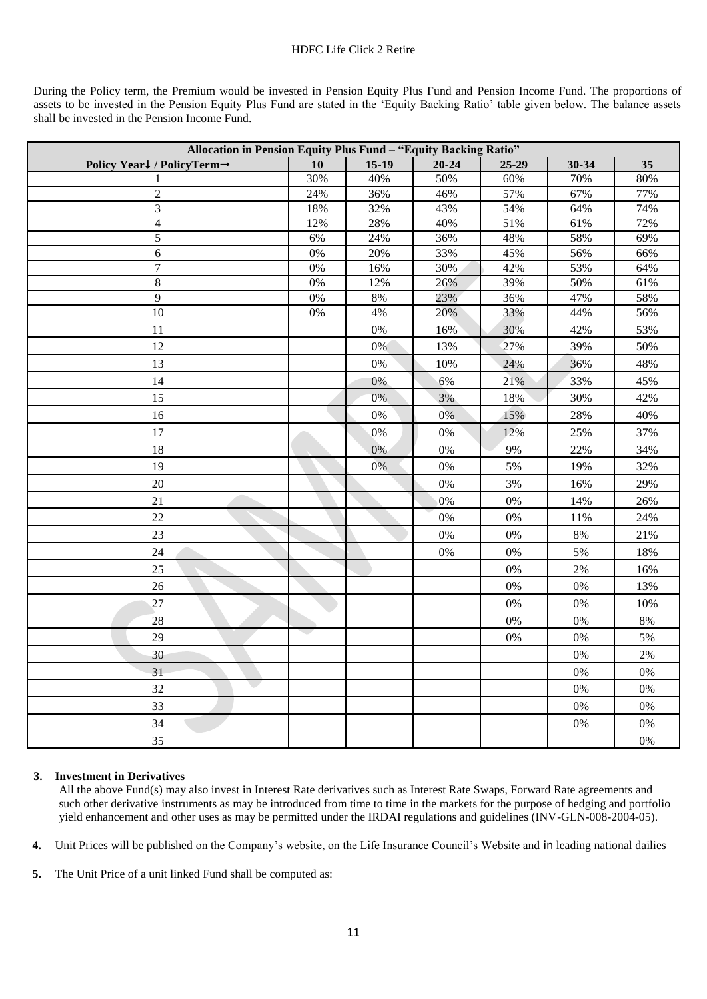During the Policy term, the Premium would be invested in Pension Equity Plus Fund and Pension Income Fund. The proportions of assets to be invested in the Pension Equity Plus Fund are stated in the 'Equity Backing Ratio' table given below. The balance assets shall be invested in the Pension Income Fund.

| Allocation in Pension Equity Plus Fund - "Equity Backing Ratio" |       |         |           |           |           |        |
|-----------------------------------------------------------------|-------|---------|-----------|-----------|-----------|--------|
| Policy Year↓/PolicyTerm→                                        | 10    | $15-19$ | $20 - 24$ | $25 - 29$ | $30 - 34$ | 35     |
|                                                                 | 30%   | 40%     | 50%       | $60\%$    | 70%       | $80\%$ |
| $\mathbf{2}$                                                    | 24%   | 36%     | 46%       | 57%       | 67%       | 77%    |
| 3                                                               | 18%   | 32%     | 43%       | 54%       | 64%       | 74%    |
| $\overline{4}$                                                  | 12%   | 28%     | 40%       | 51%       | 61%       | 72%    |
| $\overline{5}$                                                  | 6%    | 24%     | 36%       | 48%       | 58%       | 69%    |
| $\sqrt{6}$                                                      | $0\%$ | 20%     | 33%       | 45%       | 56%       | 66%    |
| $\overline{7}$                                                  | $0\%$ | 16%     | 30%       | 42%       | 53%       | 64%    |
| 8                                                               | $0\%$ | $12\%$  | 26%       | 39%       | 50%       | 61%    |
| $\overline{9}$                                                  | $0\%$ | $8\%$   | 23%       | 36%       | 47%       | 58%    |
| $\overline{10}$                                                 | $0\%$ | 4%      | 20%       | 33%       | 44%       | 56%    |
| 11                                                              |       | 0%      | 16%       | 30%       | 42%       | 53%    |
| 12                                                              |       | 0%      | 13%       | 27%       | 39%       | 50%    |
| 13                                                              |       | $0\%$   | 10%       | 24%       | 36%       | 48%    |
| 14                                                              |       | 0%      | 6%        | 21%       | 33%       | 45%    |
| 15                                                              |       | 0%      | 3%        | 18%       | 30%       | 42%    |
| 16                                                              |       | $0\%$   | 0%        | 15%       | 28%       | 40%    |
| 17                                                              |       | 0%      | $0\%$     | 12%       | 25%       | 37%    |
| 18                                                              |       | 0%      | $0\%$     | 9%        | 22%       | 34%    |
| 19                                                              |       | 0%      | $0\%$     | 5%        | 19%       | 32%    |
| $20\,$                                                          |       |         | $0\%$     | 3%        | 16%       | 29%    |
| 21                                                              |       |         | $0\%$     | 0%        | 14%       | 26%    |
| $22\,$                                                          |       |         | $0\%$     | $0\%$     | 11%       | 24%    |
| $23\,$                                                          |       |         | $0\%$     | $0\%$     | $8\%$     | 21%    |
| $24\,$                                                          |       |         | $0\%$     | 0%        | 5%        | 18%    |
| 25                                                              |       |         |           | 0%        | 2%        | 16%    |
| 26                                                              |       |         |           | 0%        | $0\%$     | 13%    |
| $27\,$                                                          |       |         |           | 0%        | $0\%$     | 10%    |
| 28                                                              |       |         |           | $0\%$     | $0\%$     | $8\%$  |
| 29                                                              |       |         |           | 0%        | $0\%$     | 5%     |
| 30                                                              |       |         |           |           | $0\%$     | 2%     |
| 31                                                              |       |         |           |           | $0\%$     | $0\%$  |
| 32                                                              |       |         |           |           | $0\%$     | $0\%$  |
| 33                                                              |       |         |           |           | $0\%$     | $0\%$  |
| 34                                                              |       |         |           |           | 0%        | 0%     |
| 35                                                              |       |         |           |           |           | 0%     |

### **3. Investment in Derivatives**

All the above Fund(s) may also invest in Interest Rate derivatives such as Interest Rate Swaps, Forward Rate agreements and such other derivative instruments as may be introduced from time to time in the markets for the purpose of hedging and portfolio yield enhancement and other uses as may be permitted under the IRDAI regulations and guidelines (INV-GLN-008-2004-05).

**4.** Unit Prices will be published on the Company's website, on the Life Insurance Council's Website and in leading national dailies

**5.** The Unit Price of a unit linked Fund shall be computed as: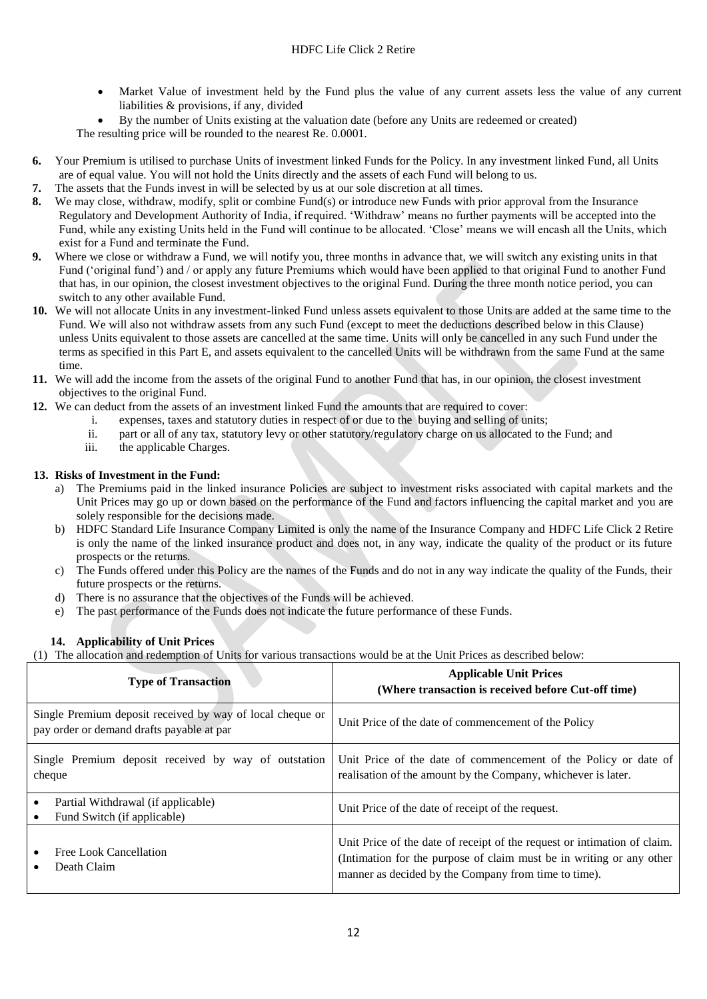- Market Value of investment held by the Fund plus the value of any current assets less the value of any current liabilities & provisions, if any, divided
- By the number of Units existing at the valuation date (before any Units are redeemed or created)

The resulting price will be rounded to the nearest Re. 0.0001.

- **6.** Your Premium is utilised to purchase Units of investment linked Funds for the Policy. In any investment linked Fund, all Units are of equal value. You will not hold the Units directly and the assets of each Fund will belong to us.
- **7.** The assets that the Funds invest in will be selected by us at our sole discretion at all times.
- **8.** We may close, withdraw, modify, split or combine Fund(s) or introduce new Funds with prior approval from the Insurance Regulatory and Development Authority of India, if required. 'Withdraw' means no further payments will be accepted into the Fund, while any existing Units held in the Fund will continue to be allocated. 'Close' means we will encash all the Units, which exist for a Fund and terminate the Fund.
- **9.** Where we close or withdraw a Fund, we will notify you, three months in advance that, we will switch any existing units in that Fund ('original fund') and / or apply any future Premiums which would have been applied to that original Fund to another Fund that has, in our opinion, the closest investment objectives to the original Fund. During the three month notice period, you can switch to any other available Fund.
- **10.** We will not allocate Units in any investment-linked Fund unless assets equivalent to those Units are added at the same time to the Fund. We will also not withdraw assets from any such Fund (except to meet the deductions described below in this Clause) unless Units equivalent to those assets are cancelled at the same time. Units will only be cancelled in any such Fund under the terms as specified in this Part E, and assets equivalent to the cancelled Units will be withdrawn from the same Fund at the same time.
- **11.** We will add the income from the assets of the original Fund to another Fund that has, in our opinion, the closest investment objectives to the original Fund.
- **12.** We can deduct from the assets of an investment linked Fund the amounts that are required to cover:
	- i. expenses, taxes and statutory duties in respect of or due to the buying and selling of units;
	- ii. part or all of any tax, statutory levy or other statutory/regulatory charge on us allocated to the Fund; and
	- iii. the applicable Charges.

## **13. Risks of Investment in the Fund:**

- a) The Premiums paid in the linked insurance Policies are subject to investment risks associated with capital markets and the Unit Prices may go up or down based on the performance of the Fund and factors influencing the capital market and you are solely responsible for the decisions made.
- b) HDFC Standard Life Insurance Company Limited is only the name of the Insurance Company and HDFC Life Click 2 Retire is only the name of the linked insurance product and does not, in any way, indicate the quality of the product or its future prospects or the returns.
- c) The Funds offered under this Policy are the names of the Funds and do not in any way indicate the quality of the Funds, their future prospects or the returns.
- d) There is no assurance that the objectives of the Funds will be achieved.
- e) The past performance of the Funds does not indicate the future performance of these Funds.

## **14. Applicability of Unit Prices**

(1) The allocation and redemption of Units for various transactions would be at the Unit Prices as described below:

| <b>Type of Transaction</b>                                                                             | <b>Applicable Unit Prices</b><br>(Where transaction is received before Cut-off time)                                                                                                                     |  |
|--------------------------------------------------------------------------------------------------------|----------------------------------------------------------------------------------------------------------------------------------------------------------------------------------------------------------|--|
| Single Premium deposit received by way of local cheque or<br>pay order or demand drafts payable at par | Unit Price of the date of commencement of the Policy                                                                                                                                                     |  |
| Single Premium deposit received by way of outstation<br>cheque                                         | Unit Price of the date of commencement of the Policy or date of<br>realisation of the amount by the Company, whichever is later.                                                                         |  |
| Partial Withdrawal (if applicable)<br>Fund Switch (if applicable)<br>٠                                 | Unit Price of the date of receipt of the request.                                                                                                                                                        |  |
| Free Look Cancellation<br>Death Claim                                                                  | Unit Price of the date of receipt of the request or intimation of claim.<br>(Intimation for the purpose of claim must be in writing or any other<br>manner as decided by the Company from time to time). |  |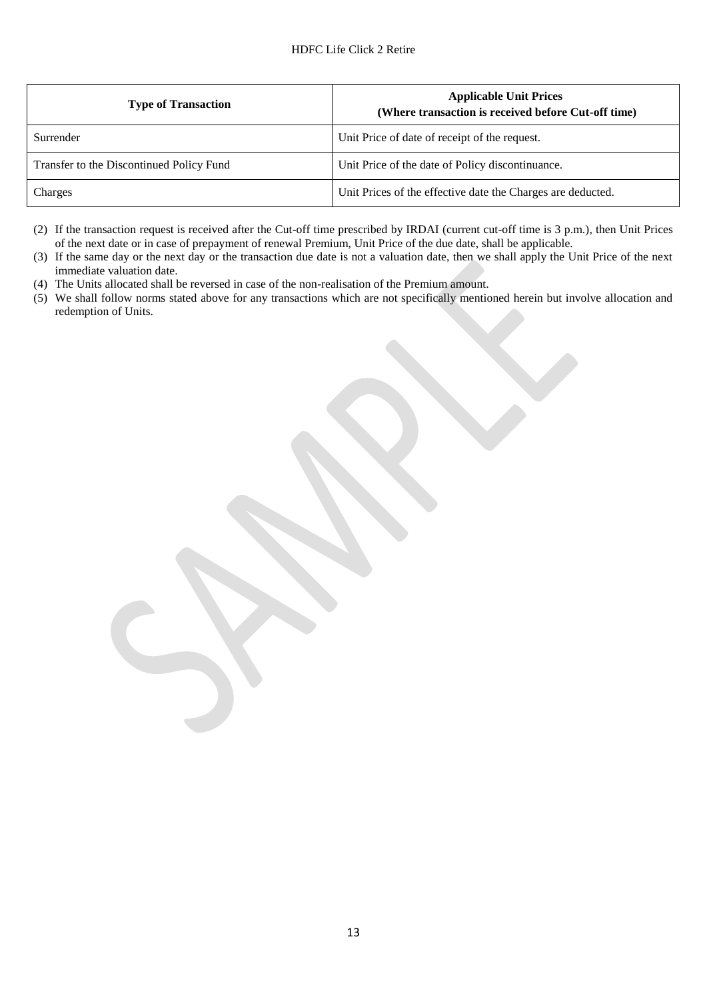| <b>Type of Transaction</b>               | <b>Applicable Unit Prices</b><br>(Where transaction is received before Cut-off time) |
|------------------------------------------|--------------------------------------------------------------------------------------|
| Surrender                                | Unit Price of date of receipt of the request.                                        |
| Transfer to the Discontinued Policy Fund | Unit Price of the date of Policy discontinuance.                                     |
| Charges                                  | Unit Prices of the effective date the Charges are deducted.                          |

(2) If the transaction request is received after the Cut-off time prescribed by IRDAI (current cut-off time is 3 p.m.), then Unit Prices of the next date or in case of prepayment of renewal Premium, Unit Price of the due date, shall be applicable.

(3) If the same day or the next day or the transaction due date is not a valuation date, then we shall apply the Unit Price of the next immediate valuation date.

- (4) The Units allocated shall be reversed in case of the non-realisation of the Premium amount.
- (5) We shall follow norms stated above for any transactions which are not specifically mentioned herein but involve allocation and redemption of Units.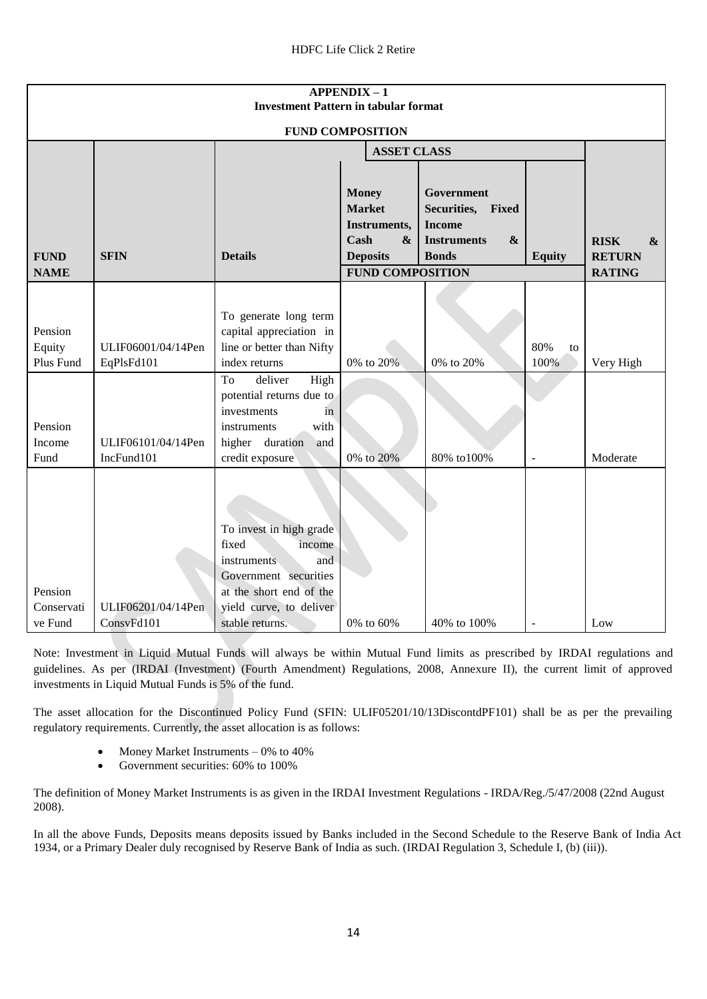| <b>APPENDIX-1</b><br><b>Investment Pattern in tabular format</b> |                                  |                                                                                                                                                                    |                                                                                                                          |                                                                                                             |                          |                                                                        |
|------------------------------------------------------------------|----------------------------------|--------------------------------------------------------------------------------------------------------------------------------------------------------------------|--------------------------------------------------------------------------------------------------------------------------|-------------------------------------------------------------------------------------------------------------|--------------------------|------------------------------------------------------------------------|
| <b>FUND COMPOSITION</b>                                          |                                  |                                                                                                                                                                    |                                                                                                                          |                                                                                                             |                          |                                                                        |
|                                                                  |                                  |                                                                                                                                                                    | <b>ASSET CLASS</b>                                                                                                       |                                                                                                             |                          |                                                                        |
| <b>FUND</b><br><b>NAME</b>                                       | <b>SFIN</b>                      | <b>Details</b>                                                                                                                                                     | <b>Money</b><br><b>Market</b><br>Instruments,<br>Cash<br>$\boldsymbol{\&}$<br><b>Deposits</b><br><b>FUND COMPOSITION</b> | Government<br>Securities, Fixed<br><b>Income</b><br><b>Instruments</b><br>$\boldsymbol{\&}$<br><b>Bonds</b> | <b>Equity</b>            | <b>RISK</b><br>$\boldsymbol{\alpha}$<br><b>RETURN</b><br><b>RATING</b> |
| Pension<br>Equity<br>Plus Fund                                   | ULIF06001/04/14Pen<br>EqPlsFd101 | To generate long term<br>capital appreciation in<br>line or better than Nifty<br>index returns                                                                     | 0% to 20%                                                                                                                | 0% to 20%                                                                                                   | 80%<br>to<br>100%        | Very High                                                              |
| Pension<br>Income<br>Fund                                        | ULIF06101/04/14Pen<br>IncFund101 | To<br>deliver<br>High<br>potential returns due to<br>investments<br>in<br>with<br>instruments<br>higher duration<br>and<br>credit exposure                         | 0% to 20%                                                                                                                | 80% to100%                                                                                                  | $\overline{\phantom{a}}$ | Moderate                                                               |
| Pension<br>Conservati<br>ve Fund                                 | ULIF06201/04/14Pen<br>ConsvFd101 | To invest in high grade<br>fixed<br>income<br>and<br>instruments<br>Government securities<br>at the short end of the<br>yield curve, to deliver<br>stable returns. | 0% to 60%                                                                                                                | 40% to 100%                                                                                                 | $\sim$                   | Low                                                                    |

Note: Investment in Liquid Mutual Funds will always be within Mutual Fund limits as prescribed by IRDAI regulations and guidelines. As per (IRDAI (Investment) (Fourth Amendment) Regulations, 2008, Annexure II), the current limit of approved investments in Liquid Mutual Funds is 5% of the fund.

The asset allocation for the Discontinued Policy Fund (SFIN: ULIF05201/10/13DiscontdPF101) shall be as per the prevailing regulatory requirements. Currently, the asset allocation is as follows:

- Money Market Instruments  $-0\%$  to 40%
- Government securities: 60% to 100%

The definition of Money Market Instruments is as given in the IRDAI Investment Regulations - IRDA/Reg./5/47/2008 (22nd August 2008).

In all the above Funds, Deposits means deposits issued by Banks included in the Second Schedule to the Reserve Bank of India Act 1934, or a Primary Dealer duly recognised by Reserve Bank of India as such. (IRDAI Regulation 3, Schedule I, (b) (iii)).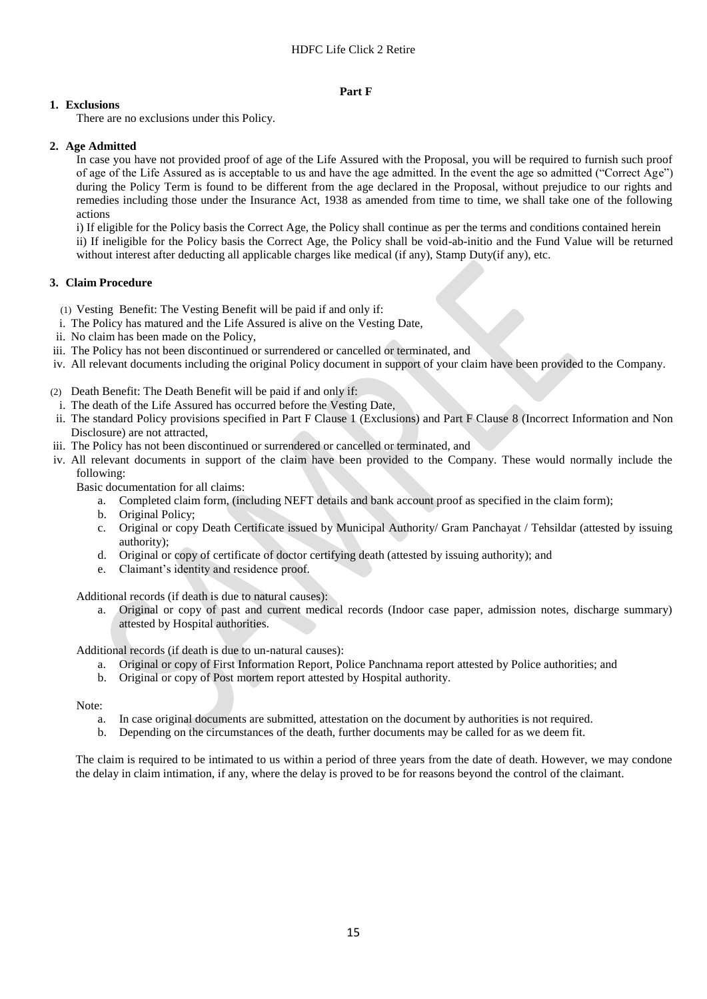#### **Part F**

## **1. Exclusions**

There are no exclusions under this Policy.

## **2. Age Admitted**

In case you have not provided proof of age of the Life Assured with the Proposal, you will be required to furnish such proof of age of the Life Assured as is acceptable to us and have the age admitted. In the event the age so admitted ("Correct Age") during the Policy Term is found to be different from the age declared in the Proposal, without prejudice to our rights and remedies including those under the Insurance Act, 1938 as amended from time to time, we shall take one of the following actions

i) If eligible for the Policy basis the Correct Age, the Policy shall continue as per the terms and conditions contained herein ii) If ineligible for the Policy basis the Correct Age, the Policy shall be void-ab-initio and the Fund Value will be returned without interest after deducting all applicable charges like medical (if any), Stamp Duty(if any), etc.

## **3. Claim Procedure**

(1) Vesting Benefit: The Vesting Benefit will be paid if and only if:

- i. The Policy has matured and the Life Assured is alive on the Vesting Date,
- ii. No claim has been made on the Policy,
- iii. The Policy has not been discontinued or surrendered or cancelled or terminated, and
- iv. All relevant documents including the original Policy document in support of your claim have been provided to the Company.
- (2) Death Benefit: The Death Benefit will be paid if and only if:
- i. The death of the Life Assured has occurred before the Vesting Date,
- ii. The standard Policy provisions specified in Part F Clause 1 (Exclusions) and Part F Clause 8 (Incorrect Information and Non Disclosure) are not attracted,
- iii. The Policy has not been discontinued or surrendered or cancelled or terminated, and
- iv. All relevant documents in support of the claim have been provided to the Company. These would normally include the following:

Basic documentation for all claims:

- a. Completed claim form, (including NEFT details and bank account proof as specified in the claim form);
- b. Original Policy;
- c. Original or copy Death Certificate issued by Municipal Authority/ Gram Panchayat / Tehsildar (attested by issuing authority);
- d. Original or copy of certificate of doctor certifying death (attested by issuing authority); and
- e. Claimant's identity and residence proof.

Additional records (if death is due to natural causes):

a. Original or copy of past and current medical records (Indoor case paper, admission notes, discharge summary) attested by Hospital authorities.

Additional records (if death is due to un-natural causes):

- a. Original or copy of First Information Report, Police Panchnama report attested by Police authorities; and
- b. Original or copy of Post mortem report attested by Hospital authority.

Note:

- a. In case original documents are submitted, attestation on the document by authorities is not required.
- b. Depending on the circumstances of the death, further documents may be called for as we deem fit.

The claim is required to be intimated to us within a period of three years from the date of death. However, we may condone the delay in claim intimation, if any, where the delay is proved to be for reasons beyond the control of the claimant.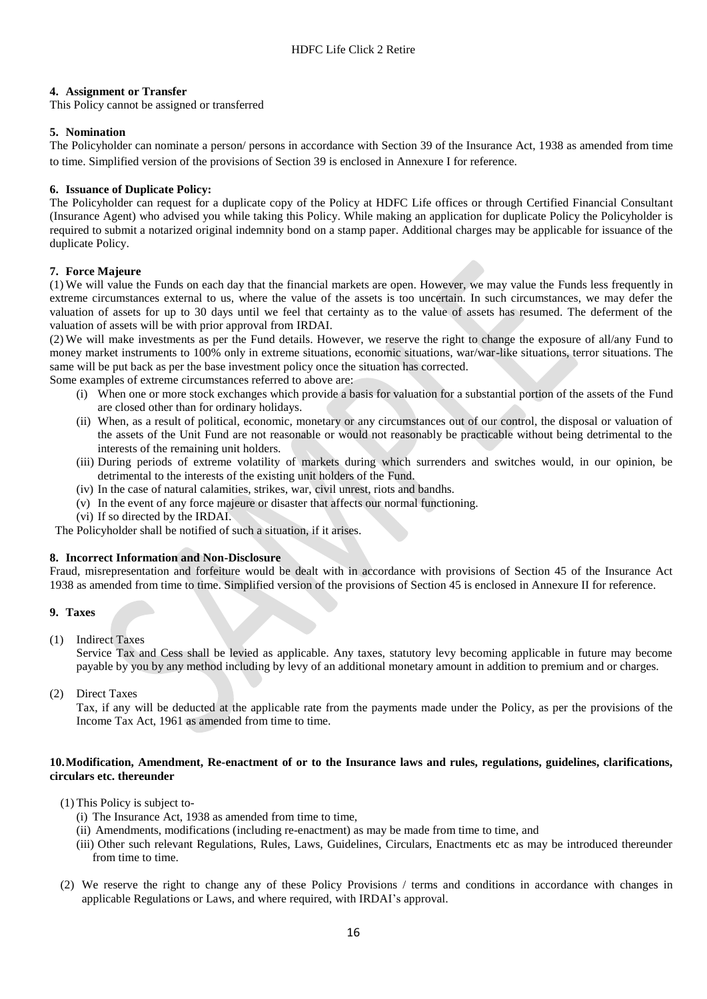### **4. Assignment or Transfer**

This Policy cannot be assigned or transferred

### **5. Nomination**

The Policyholder can nominate a person/ persons in accordance with Section 39 of the Insurance Act, 1938 as amended from time to time. Simplified version of the provisions of Section 39 is enclosed in Annexure I for reference.

### **6. Issuance of Duplicate Policy:**

The Policyholder can request for a duplicate copy of the Policy at HDFC Life offices or through Certified Financial Consultant (Insurance Agent) who advised you while taking this Policy. While making an application for duplicate Policy the Policyholder is required to submit a notarized original indemnity bond on a stamp paper. Additional charges may be applicable for issuance of the duplicate Policy.

## **7. Force Majeure**

(1) We will value the Funds on each day that the financial markets are open. However, we may value the Funds less frequently in extreme circumstances external to us, where the value of the assets is too uncertain. In such circumstances, we may defer the valuation of assets for up to 30 days until we feel that certainty as to the value of assets has resumed. The deferment of the valuation of assets will be with prior approval from IRDAI.

(2) We will make investments as per the Fund details. However, we reserve the right to change the exposure of all/any Fund to money market instruments to 100% only in extreme situations, economic situations, war/war-like situations, terror situations. The same will be put back as per the base investment policy once the situation has corrected.

Some examples of extreme circumstances referred to above are:

- (i) When one or more stock exchanges which provide a basis for valuation for a substantial portion of the assets of the Fund are closed other than for ordinary holidays.
- (ii) When, as a result of political, economic, monetary or any circumstances out of our control, the disposal or valuation of the assets of the Unit Fund are not reasonable or would not reasonably be practicable without being detrimental to the interests of the remaining unit holders.
- (iii) During periods of extreme volatility of markets during which surrenders and switches would, in our opinion, be detrimental to the interests of the existing unit holders of the Fund.
- (iv) In the case of natural calamities, strikes, war, civil unrest, riots and bandhs.
- (v) In the event of any force majeure or disaster that affects our normal functioning.
- (vi) If so directed by the IRDAI.

The Policyholder shall be notified of such a situation, if it arises.

### **8. Incorrect Information and Non-Disclosure**

Fraud, misrepresentation and forfeiture would be dealt with in accordance with provisions of Section 45 of the Insurance Act 1938 as amended from time to time. Simplified version of the provisions of Section 45 is enclosed in Annexure II for reference.

### **9. Taxes**

(1) Indirect Taxes

Service Tax and Cess shall be levied as applicable. Any taxes, statutory levy becoming applicable in future may become payable by you by any method including by levy of an additional monetary amount in addition to premium and or charges.

(2) Direct Taxes

Tax, if any will be deducted at the applicable rate from the payments made under the Policy, as per the provisions of the Income Tax Act, 1961 as amended from time to time.

### **10.Modification, Amendment, Re-enactment of or to the Insurance laws and rules, regulations, guidelines, clarifications, circulars etc. thereunder**

- (1) This Policy is subject to-
	- (i) The Insurance Act, 1938 as amended from time to time,
	- (ii) Amendments, modifications (including re-enactment) as may be made from time to time, and
	- (iii) Other such relevant Regulations, Rules, Laws, Guidelines, Circulars, Enactments etc as may be introduced thereunder from time to time.
- (2) We reserve the right to change any of these Policy Provisions / terms and conditions in accordance with changes in applicable Regulations or Laws, and where required, with IRDAI's approval.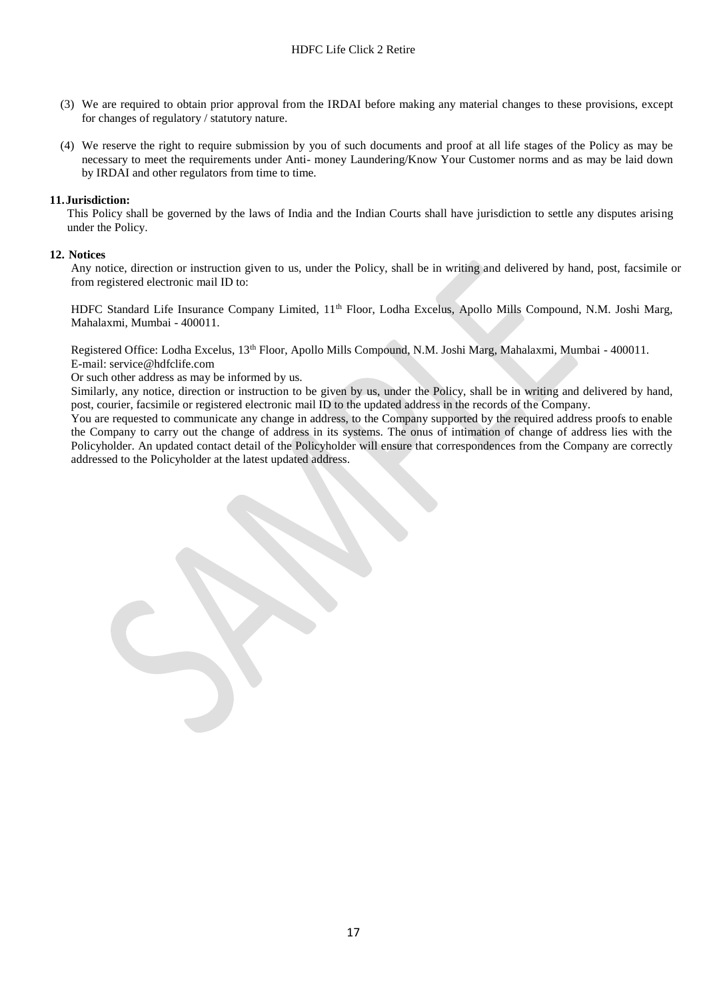- (3) We are required to obtain prior approval from the IRDAI before making any material changes to these provisions, except for changes of regulatory / statutory nature.
- (4) We reserve the right to require submission by you of such documents and proof at all life stages of the Policy as may be necessary to meet the requirements under Anti- money Laundering/Know Your Customer norms and as may be laid down by IRDAI and other regulators from time to time.

### **11.Jurisdiction:**

This Policy shall be governed by the laws of India and the Indian Courts shall have jurisdiction to settle any disputes arising under the Policy.

#### **12. Notices**

Any notice, direction or instruction given to us, under the Policy, shall be in writing and delivered by hand, post, facsimile or from registered electronic mail ID to:

HDFC Standard Life Insurance Company Limited, 11th Floor, Lodha Excelus, Apollo Mills Compound, N.M. Joshi Marg, Mahalaxmi, Mumbai - 400011.

Registered Office: Lodha Excelus, 13th Floor, Apollo Mills Compound, N.M. Joshi Marg, Mahalaxmi, Mumbai - 400011. E-mail: service@hdfclife.com

Or such other address as may be informed by us.

Similarly, any notice, direction or instruction to be given by us, under the Policy, shall be in writing and delivered by hand, post, courier, facsimile or registered electronic mail ID to the updated address in the records of the Company.

You are requested to communicate any change in address, to the Company supported by the required address proofs to enable the Company to carry out the change of address in its systems. The onus of intimation of change of address lies with the Policyholder. An updated contact detail of the Policyholder will ensure that correspondences from the Company are correctly addressed to the Policyholder at the latest updated address.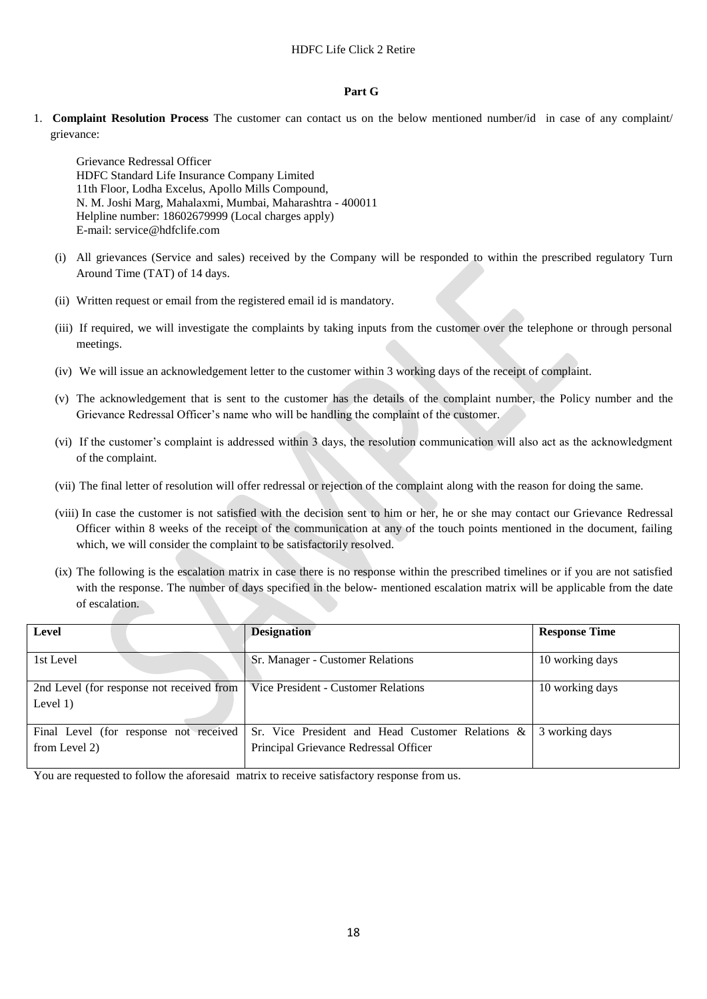#### **Part G**

1. **Complaint Resolution Process** The customer can contact us on the below mentioned number/id in case of any complaint/ grievance:

Grievance Redressal Officer HDFC Standard Life Insurance Company Limited 11th Floor, Lodha Excelus, Apollo Mills Compound, N. M. Joshi Marg, Mahalaxmi, Mumbai, Maharashtra - 400011 Helpline number: 18602679999 (Local charges apply) E-mail: [service@hdfclife.com](mailto:service@hdfclife.com)

- (i) All grievances (Service and sales) received by the Company will be responded to within the prescribed regulatory Turn Around Time (TAT) of 14 days.
- (ii) Written request or email from the registered email id is mandatory.
- (iii) If required, we will investigate the complaints by taking inputs from the customer over the telephone or through personal meetings.
- (iv) We will issue an acknowledgement letter to the customer within 3 working days of the receipt of complaint.
- (v) The acknowledgement that is sent to the customer has the details of the complaint number, the Policy number and the Grievance Redressal Officer's name who will be handling the complaint of the customer.
- (vi) If the customer's complaint is addressed within 3 days, the resolution communication will also act as the acknowledgment of the complaint.
- (vii) The final letter of resolution will offer redressal or rejection of the complaint along with the reason for doing the same.
- (viii) In case the customer is not satisfied with the decision sent to him or her, he or she may contact our Grievance Redressal Officer within 8 weeks of the receipt of the communication at any of the touch points mentioned in the document, failing which, we will consider the complaint to be satisfactorily resolved.
- (ix) The following is the escalation matrix in case there is no response within the prescribed timelines or if you are not satisfied with the response. The number of days specified in the below- mentioned escalation matrix will be applicable from the date of escalation.

| Level                                                                           | <b>Designation</b>                               | <b>Response Time</b> |
|---------------------------------------------------------------------------------|--------------------------------------------------|----------------------|
| 1st Level                                                                       | Sr. Manager - Customer Relations                 | 10 working days      |
| 2nd Level (for response not received from   Vice President - Customer Relations |                                                  | 10 working days      |
| Level $1)$                                                                      |                                                  |                      |
| Final Level (for response not received                                          | Sr. Vice President and Head Customer Relations & | 3 working days       |
| from Level 2)                                                                   | Principal Grievance Redressal Officer            |                      |

You are requested to follow the aforesaid matrix to receive satisfactory response from us.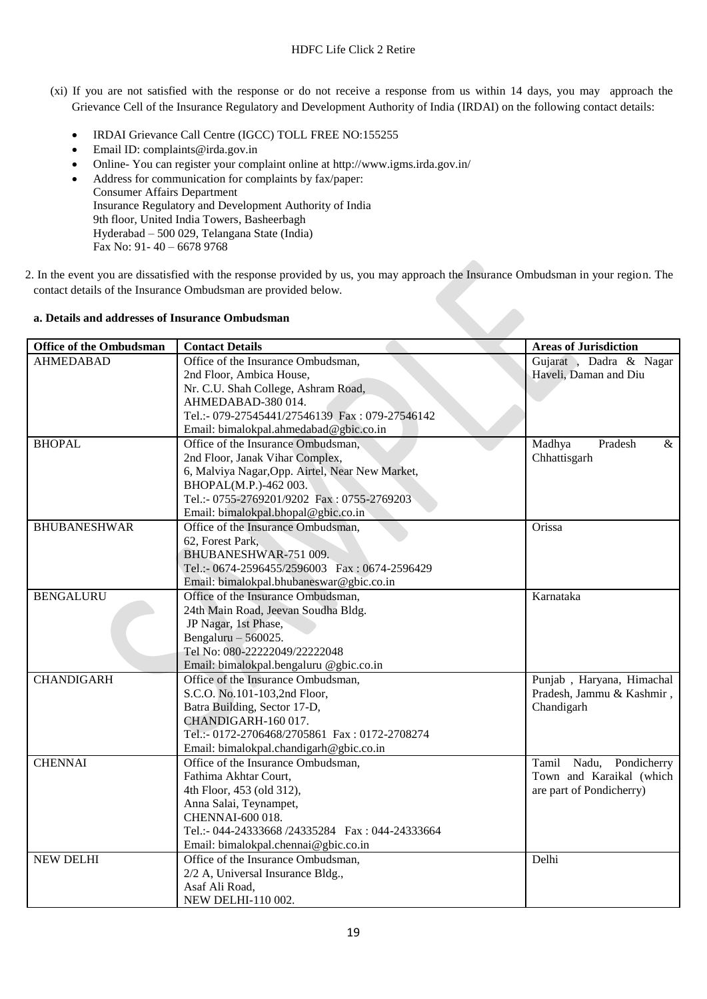- (xi) If you are not satisfied with the response or do not receive a response from us within 14 days, you may approach the Grievance Cell of the Insurance Regulatory and Development Authority of India (IRDAI) on the following contact details:
	- IRDAI Grievance Call Centre (IGCC) TOLL FREE NO:155255
	- Email ID: complaints@irda.gov.in
	- Online- You can register your complaint online at http://www.igms.irda.gov.in/
	- Address for communication for complaints by fax/paper: Consumer Affairs Department Insurance Regulatory and Development Authority of India 9th floor, United India Towers, Basheerbagh Hyderabad – 500 029, Telangana State (India) Fax No: 91- 40 – 6678 9768
- 2. In the event you are dissatisfied with the response provided by us, you may approach the Insurance Ombudsman in your region. The contact details of the Insurance Ombudsman are provided below.

## **a. Details and addresses of Insurance Ombudsman**

| <b>Office of the Ombudsman</b> | <b>Contact Details</b>                           | <b>Areas of Jurisdiction</b> |
|--------------------------------|--------------------------------------------------|------------------------------|
| <b>AHMEDABAD</b>               | Office of the Insurance Ombudsman,               | Gujarat , Dadra & Nagar      |
|                                | 2nd Floor, Ambica House,                         | Haveli, Daman and Diu        |
|                                | Nr. C.U. Shah College, Ashram Road,              |                              |
|                                | AHMEDABAD-380 014.                               |                              |
|                                | Tel.:- 079-27545441/27546139 Fax: 079-27546142   |                              |
|                                | Email: bimalokpal.ahmedabad@gbic.co.in           |                              |
| <b>BHOPAL</b>                  | Office of the Insurance Ombudsman,               | Madhya<br>Pradesh<br>&       |
|                                | 2nd Floor, Janak Vihar Complex,                  | Chhattisgarh                 |
|                                | 6, Malviya Nagar, Opp. Airtel, Near New Market,  |                              |
|                                | BHOPAL(M.P.)-462 003.                            |                              |
|                                | Tel.:- 0755-2769201/9202 Fax: 0755-2769203       |                              |
|                                | Email: bimalokpal.bhopal@gbic.co.in              |                              |
| <b>BHUBANESHWAR</b>            | Office of the Insurance Ombudsman,               | Orissa                       |
|                                | 62, Forest Park,                                 |                              |
|                                | BHUBANESHWAR-751 009.                            |                              |
|                                | Tel.:- 0674-2596455/2596003 Fax: 0674-2596429    |                              |
|                                | Email: bimalokpal.bhubaneswar@gbic.co.in         |                              |
| <b>BENGALURU</b>               | Office of the Insurance Ombudsman,               | Karnataka                    |
|                                | 24th Main Road, Jeevan Soudha Bldg.              |                              |
|                                | JP Nagar, 1st Phase,                             |                              |
|                                | Bengaluru $-560025$ .                            |                              |
|                                | Tel No: 080-22222049/22222048                    |                              |
|                                | Email: bimalokpal.bengaluru @gbic.co.in          |                              |
| <b>CHANDIGARH</b>              | Office of the Insurance Ombudsman,               | Punjab, Haryana, Himachal    |
|                                | S.C.O. No.101-103,2nd Floor,                     | Pradesh, Jammu & Kashmir,    |
|                                | Batra Building, Sector 17-D,                     | Chandigarh                   |
|                                | CHANDIGARH-160 017.                              |                              |
|                                | Tel.:- 0172-2706468/2705861 Fax: 0172-2708274    |                              |
|                                | Email: bimalokpal.chandigarh@gbic.co.in          |                              |
| <b>CHENNAI</b>                 | Office of the Insurance Ombudsman,               | Tamil Nadu, Pondicherry      |
|                                | Fathima Akhtar Court,                            | Town and Karaikal (which     |
|                                | 4th Floor, 453 (old 312),                        | are part of Pondicherry)     |
|                                | Anna Salai, Teynampet,                           |                              |
|                                | CHENNAI-600 018.                                 |                              |
|                                | Tel.:- 044-24333668 /24335284  Fax: 044-24333664 |                              |
|                                | Email: bimalokpal.chennai@gbic.co.in             |                              |
| <b>NEW DELHI</b>               | Office of the Insurance Ombudsman,               | Delhi                        |
|                                | 2/2 A, Universal Insurance Bldg.,                |                              |
|                                | Asaf Ali Road,                                   |                              |
|                                | NEW DELHI-110 002.                               |                              |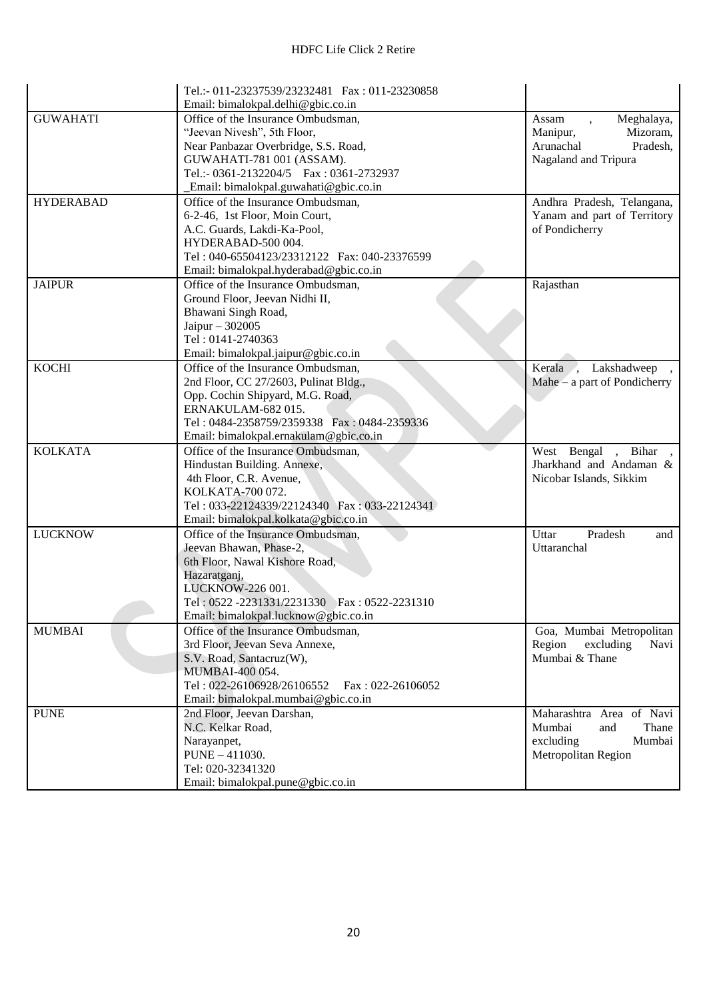|                  | Tel.:- 011-23237539/23232481  Fax: 011-23230858<br>Email: bimalokpal.delhi@gbic.co.in |                                              |
|------------------|---------------------------------------------------------------------------------------|----------------------------------------------|
| <b>GUWAHATI</b>  | Office of the Insurance Ombudsman,                                                    | Meghalaya,<br>Assam                          |
|                  | "Jeevan Nivesh", 5th Floor,                                                           | $\ddot{\phantom{0}}$<br>Manipur,<br>Mizoram, |
|                  | Near Panbazar Overbridge, S.S. Road,                                                  | Arunachal<br>Pradesh,                        |
|                  | GUWAHATI-781 001 (ASSAM).                                                             | Nagaland and Tripura                         |
|                  | Tel.:- 0361-2132204/5  Fax: 0361-2732937                                              |                                              |
|                  | Email: bimalokpal.guwahati@gbic.co.in                                                 |                                              |
| <b>HYDERABAD</b> | Office of the Insurance Ombudsman,                                                    | Andhra Pradesh, Telangana,                   |
|                  | 6-2-46, 1st Floor, Moin Court,                                                        | Yanam and part of Territory                  |
|                  | A.C. Guards, Lakdi-Ka-Pool,                                                           | of Pondicherry                               |
|                  | HYDERABAD-500 004.                                                                    |                                              |
|                  | Tel: 040-65504123/23312122  Fax: 040-23376599                                         |                                              |
|                  | Email: bimalokpal.hyderabad@gbic.co.in                                                |                                              |
| <b>JAIPUR</b>    | Office of the Insurance Ombudsman,                                                    | Rajasthan                                    |
|                  | Ground Floor, Jeevan Nidhi II,                                                        |                                              |
|                  | Bhawani Singh Road,                                                                   |                                              |
|                  | Jaipur - 302005                                                                       |                                              |
|                  | Tel: 0141-2740363                                                                     |                                              |
|                  | Email: bimalokpal.jaipur@gbic.co.in                                                   |                                              |
| <b>KOCHI</b>     | Office of the Insurance Ombudsman,                                                    | Kerala , Lakshadweep                         |
|                  | 2nd Floor, CC 27/2603, Pulinat Bldg.,                                                 | Mahe $-$ a part of Pondicherry               |
|                  | Opp. Cochin Shipyard, M.G. Road,                                                      |                                              |
|                  | ERNAKULAM-682015.                                                                     |                                              |
|                  | Tel: 0484-2358759/2359338  Fax: 0484-2359336                                          |                                              |
|                  | Email: bimalokpal.ernakulam@gbic.co.in                                                |                                              |
| <b>KOLKATA</b>   | Office of the Insurance Ombudsman,                                                    | West Bengal , Bihar ,                        |
|                  | Hindustan Building. Annexe,                                                           | Jharkhand and Andaman &                      |
|                  | 4th Floor, C.R. Avenue,                                                               | Nicobar Islands, Sikkim                      |
|                  | KOLKATA-700 072.                                                                      |                                              |
|                  | Tel: 033-22124339/22124340 Fax: 033-22124341                                          |                                              |
|                  | Email: bimalokpal.kolkata@gbic.co.in                                                  |                                              |
| <b>LUCKNOW</b>   | Office of the Insurance Ombudsman,                                                    | Uttar<br>Pradesh<br>and                      |
|                  | Jeevan Bhawan, Phase-2,                                                               | Uttaranchal                                  |
|                  | 6th Floor, Nawal Kishore Road,                                                        |                                              |
|                  | Hazaratganj,                                                                          |                                              |
|                  | LUCKNOW-226 001.                                                                      |                                              |
|                  | Tel: 0522-2231331/2231330 Fax: 0522-2231310                                           |                                              |
|                  | Email: bimalokpal.lucknow@gbic.co.in                                                  |                                              |
| <b>MUMBAI</b>    | Office of the Insurance Ombudsman,                                                    | Goa, Mumbai Metropolitan                     |
|                  | 3rd Floor, Jeevan Seva Annexe,                                                        | Region<br>excluding<br>Navi                  |
|                  | S.V. Road, Santacruz(W),                                                              | Mumbai & Thane                               |
|                  | MUMBAI-400 054.                                                                       |                                              |
|                  | Tel: 022-26106928/26106552<br>Fax: $022 - 26106052$                                   |                                              |
|                  | Email: bimalokpal.mumbai@gbic.co.in                                                   |                                              |
| <b>PUNE</b>      | 2nd Floor, Jeevan Darshan,                                                            | Maharashtra Area of Navi                     |
|                  | N.C. Kelkar Road,                                                                     | Mumbai<br>Thane<br>and                       |
|                  | Narayanpet,                                                                           | Mumbai<br>excluding                          |
|                  | PUNE - 411030.                                                                        | Metropolitan Region                          |
|                  | Tel: 020-32341320                                                                     |                                              |
|                  | Email: bimalokpal.pune@gbic.co.in                                                     |                                              |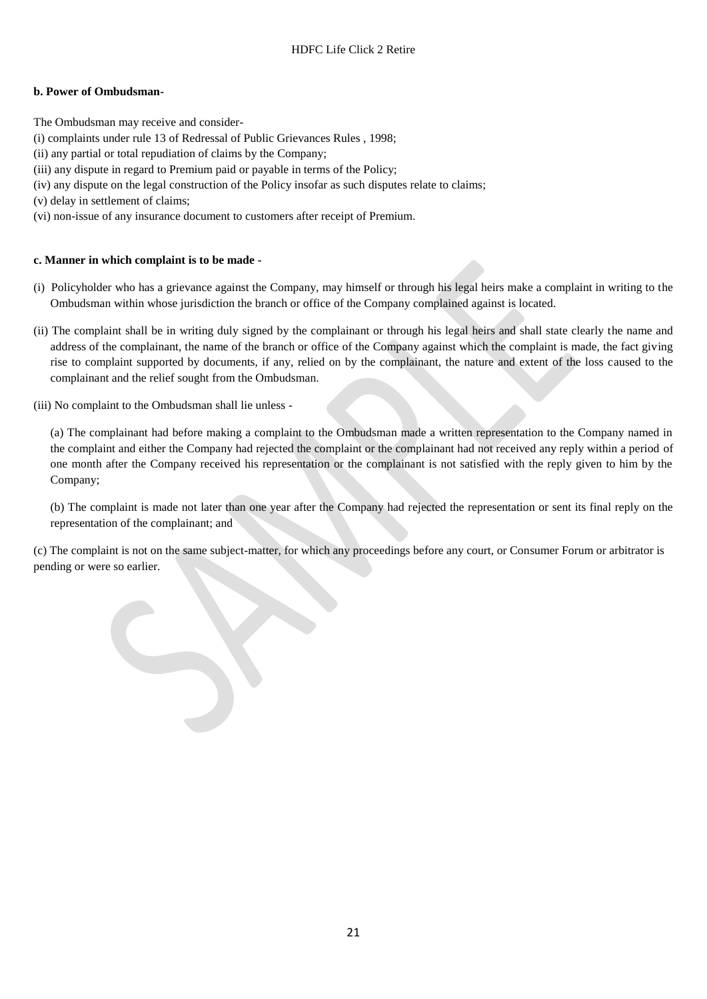## **b. Power of Ombudsman-**

- The Ombudsman may receive and consider-
- [\(i\)](http://indiankanoon.org/doc/160521836/) complaints under rule 13 of Redressal of Public Grievances Rules , 1998;
- [\(ii\)](http://indiankanoon.org/doc/156757242/) any partial or total repudiation of claims by the Company;
- [\(iii\)](http://indiankanoon.org/doc/163591613/) any dispute in regard to Premium paid or payable in terms of the Policy;
- [\(iv\)](http://indiankanoon.org/doc/31367799/) any dispute on the legal construction of the Policy insofar as such disputes relate to claims;
- [\(v\)](http://indiankanoon.org/doc/26463888/) delay in settlement of claims;
- [\(vi\)](http://indiankanoon.org/doc/47238858/) non-issue of any insurance document to customers after receipt of Premium.

## **c. Manner in which complaint is to be made -**

- [\(i\)](http://indiankanoon.org/doc/160481793/) Policyholder who has a grievance against the Company, may himself or through his legal heirs make a complaint in writing to the Ombudsman within whose jurisdiction the branch or office of the Company complained against is located.
- [\(ii\)](http://indiankanoon.org/doc/116915928/) The complaint shall be in writing duly signed by the complainant or through his legal heirs and shall state clearly the name and address of the complainant, the name of the branch or office of the Company against which the complaint is made, the fact giving rise to complaint supported by documents, if any, relied on by the complainant, the nature and extent of the loss caused to the complainant and the relief sought from the Ombudsman.
- [\(iii\)](http://indiankanoon.org/doc/99464357/) No complaint to the Ombudsman shall lie unless -

[\(a\)](http://indiankanoon.org/doc/87794950/) The complainant had before making a complaint to the Ombudsman made a written representation to the Company named in the complaint and either the Company had rejected the complaint or the complainant had not received any reply within a period of one month after the Company received his representation or the complainant is not satisfied with the reply given to him by the Company;

[\(b\)](http://indiankanoon.org/doc/84880221/) The complaint is made not later than one year after the Company had rejected the representation or sent its final reply on the representation of the complainant; and

[\(c\)](http://indiankanoon.org/doc/116794480/) The complaint is not on the same subject-matter, for which any proceedings before any court, or Consumer Forum or arbitrator is pending or were so earlier.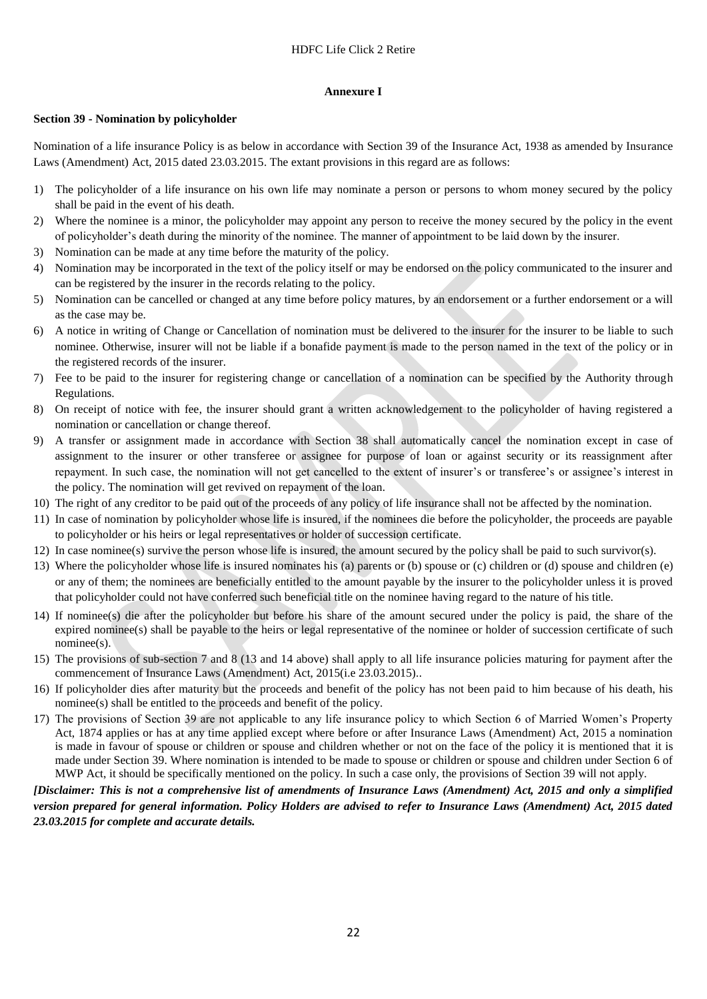#### **Annexure I**

### **Section 39 - Nomination by policyholder**

Nomination of a life insurance Policy is as below in accordance with Section 39 of the Insurance Act, 1938 as amended by Insurance Laws (Amendment) Act, 2015 dated 23.03.2015. The extant provisions in this regard are as follows:

- 1) The policyholder of a life insurance on his own life may nominate a person or persons to whom money secured by the policy shall be paid in the event of his death.
- 2) Where the nominee is a minor, the policyholder may appoint any person to receive the money secured by the policy in the event of policyholder's death during the minority of the nominee. The manner of appointment to be laid down by the insurer.
- 3) Nomination can be made at any time before the maturity of the policy.
- 4) Nomination may be incorporated in the text of the policy itself or may be endorsed on the policy communicated to the insurer and can be registered by the insurer in the records relating to the policy.
- 5) Nomination can be cancelled or changed at any time before policy matures, by an endorsement or a further endorsement or a will as the case may be.
- 6) A notice in writing of Change or Cancellation of nomination must be delivered to the insurer for the insurer to be liable to such nominee. Otherwise, insurer will not be liable if a bonafide payment is made to the person named in the text of the policy or in the registered records of the insurer.
- 7) Fee to be paid to the insurer for registering change or cancellation of a nomination can be specified by the Authority through Regulations.
- 8) On receipt of notice with fee, the insurer should grant a written acknowledgement to the policyholder of having registered a nomination or cancellation or change thereof.
- 9) A transfer or assignment made in accordance with Section 38 shall automatically cancel the nomination except in case of assignment to the insurer or other transferee or assignee for purpose of loan or against security or its reassignment after repayment. In such case, the nomination will not get cancelled to the extent of insurer's or transferee's or assignee's interest in the policy. The nomination will get revived on repayment of the loan.
- 10) The right of any creditor to be paid out of the proceeds of any policy of life insurance shall not be affected by the nomination.
- 11) In case of nomination by policyholder whose life is insured, if the nominees die before the policyholder, the proceeds are payable to policyholder or his heirs or legal representatives or holder of succession certificate.
- 12) In case nominee(s) survive the person whose life is insured, the amount secured by the policy shall be paid to such survivor(s).
- 13) Where the policyholder whose life is insured nominates his (a) parents or (b) spouse or (c) children or (d) spouse and children (e) or any of them; the nominees are beneficially entitled to the amount payable by the insurer to the policyholder unless it is proved that policyholder could not have conferred such beneficial title on the nominee having regard to the nature of his title.
- 14) If nominee(s) die after the policyholder but before his share of the amount secured under the policy is paid, the share of the expired nominee(s) shall be payable to the heirs or legal representative of the nominee or holder of succession certificate of such nominee(s).
- 15) The provisions of sub-section 7 and 8 (13 and 14 above) shall apply to all life insurance policies maturing for payment after the commencement of Insurance Laws (Amendment) Act, 2015(i.e 23.03.2015)..
- 16) If policyholder dies after maturity but the proceeds and benefit of the policy has not been paid to him because of his death, his nominee(s) shall be entitled to the proceeds and benefit of the policy.
- 17) The provisions of Section 39 are not applicable to any life insurance policy to which Section 6 of Married Women's Property Act, 1874 applies or has at any time applied except where before or after Insurance Laws (Amendment) Act, 2015 a nomination is made in favour of spouse or children or spouse and children whether or not on the face of the policy it is mentioned that it is made under Section 39. Where nomination is intended to be made to spouse or children or spouse and children under Section 6 of MWP Act, it should be specifically mentioned on the policy. In such a case only, the provisions of Section 39 will not apply.

## *[Disclaimer: This is not a comprehensive list of amendments of Insurance Laws (Amendment) Act, 2015 and only a simplified version prepared for general information. Policy Holders are advised to refer to Insurance Laws (Amendment) Act, 2015 dated 23.03.2015 for complete and accurate details.*